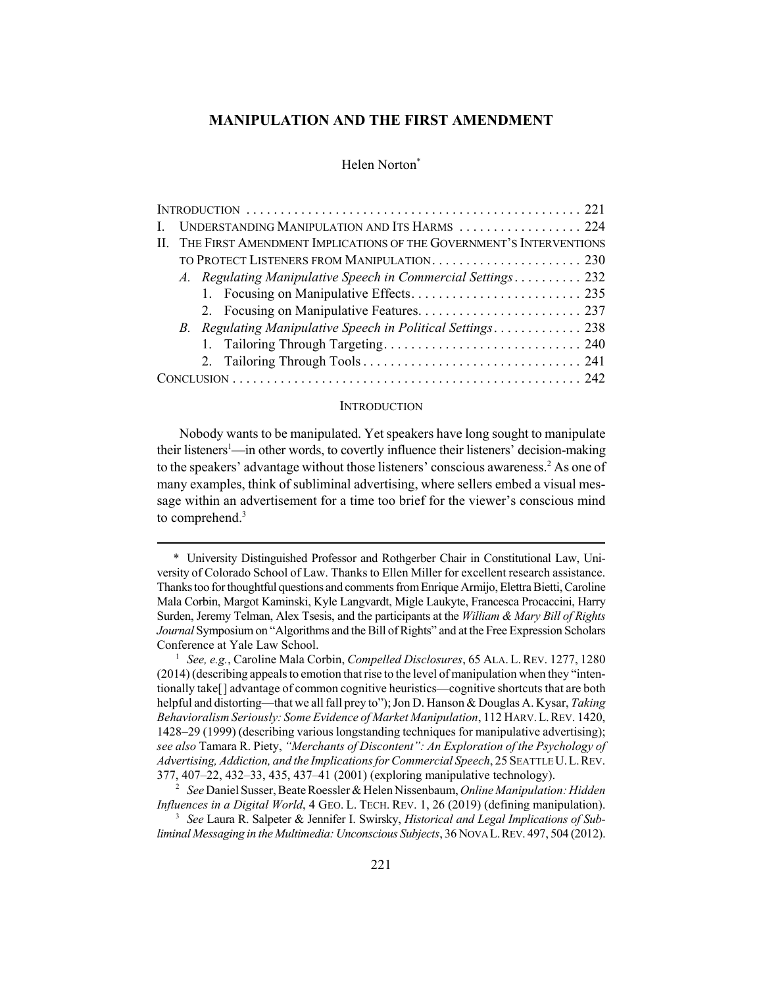## **MANIPULATION AND THE FIRST AMENDMENT**

## Helen Norton<sup>\*</sup>

| UNDERSTANDING MANIPULATION AND ITS HARMS  224                          |
|------------------------------------------------------------------------|
| II. THE FIRST AMENDMENT IMPLICATIONS OF THE GOVERNMENT'S INTERVENTIONS |
|                                                                        |
| A. Regulating Manipulative Speech in Commercial Settings 232           |
|                                                                        |
|                                                                        |
| B. Regulating Manipulative Speech in Political Settings 238            |
|                                                                        |
|                                                                        |
|                                                                        |

#### **INTRODUCTION**

Nobody wants to be manipulated. Yet speakers have long sought to manipulate their listeners<sup>1</sup>—in other words, to covertly influence their listeners' decision-making to the speakers' advantage without those listeners' conscious awareness.<sup>2</sup> As one of many examples, think of subliminal advertising, where sellers embed a visual message within an advertisement for a time too brief for the viewer's conscious mind to comprehend. $3$ 

<sup>\*</sup> University Distinguished Professor and Rothgerber Chair in Constitutional Law, University of Colorado School of Law. Thanks to Ellen Miller for excellent research assistance. Thanks too for thoughtful questions and comments from Enrique Armijo, Elettra Bietti, Caroline Mala Corbin, Margot Kaminski, Kyle Langvardt, Migle Laukyte, Francesca Procaccini, Harry Surden, Jeremy Telman, Alex Tsesis, and the participants at the *William & Mary Bill of Rights Journal* Symposium on "Algorithms and the Bill of Rights" and at the Free Expression Scholars Conference at Yale Law School.

<sup>1</sup> *See, e.g.*, Caroline Mala Corbin, *Compelled Disclosures*, 65 ALA. L.REV. 1277, 1280 (2014) (describing appeals to emotion that rise to the level of manipulation when they "intentionally take[] advantage of common cognitive heuristics—cognitive shortcuts that are both helpful and distorting—that we all fall prey to"); Jon D. Hanson & Douglas A. Kysar, *Taking Behavioralism Seriously: Some Evidence of Market Manipulation*, 112 HARV.L.REV. 1420, 1428–29 (1999) (describing various longstanding techniques for manipulative advertising); *see also* Tamara R. Piety, *"Merchants of Discontent": An Exploration of the Psychology of Advertising, Addiction, and the Implications for Commercial Speech*, 25 SEATTLE U.L.REV. 377, 407–22, 432–33, 435, 437–41 (2001) (exploring manipulative technology).

<sup>2</sup> *See* Daniel Susser, Beate Roessler & Helen Nissenbaum, *Online Manipulation: Hidden Influences in a Digital World*, 4 GEO. L. TECH. REV. 1, 26 (2019) (defining manipulation).

<sup>3</sup> *See* Laura R. Salpeter & Jennifer I. Swirsky, *Historical and Legal Implications of Subliminal Messaging in the Multimedia: Unconscious Subjects*, 36 NOVA L.REV. 497, 504 (2012).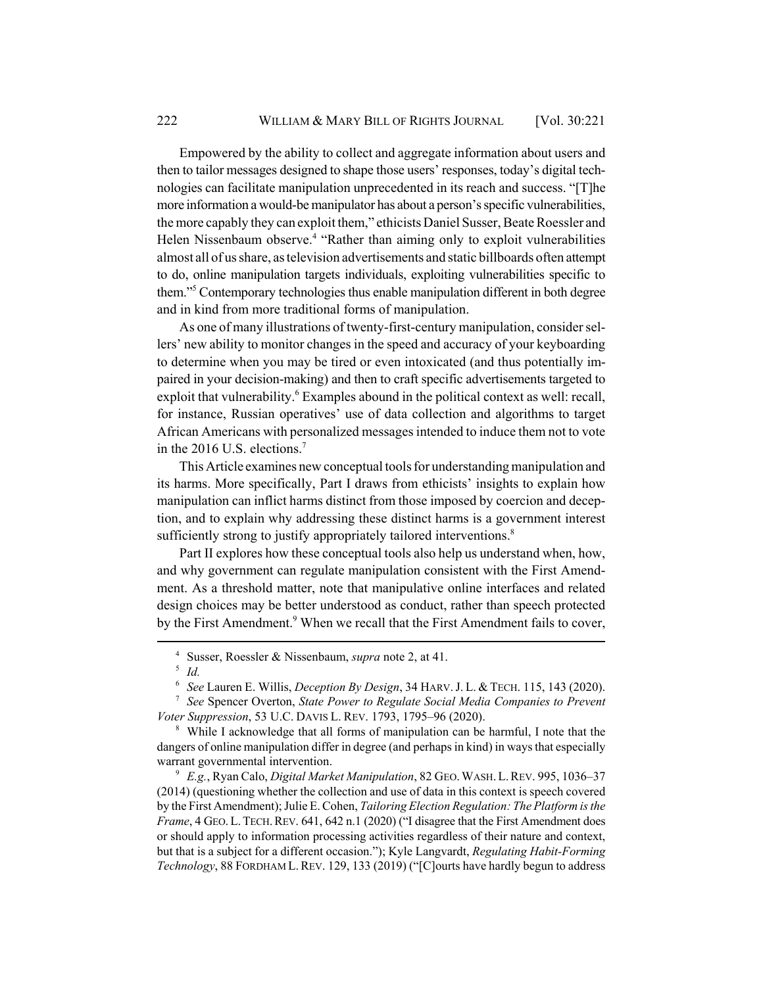Empowered by the ability to collect and aggregate information about users and then to tailor messages designed to shape those users' responses, today's digital technologies can facilitate manipulation unprecedented in its reach and success. "[T]he more information a would-be manipulator has about a person's specific vulnerabilities, the more capably they can exploit them," ethicists Daniel Susser, Beate Roessler and Helen Nissenbaum observe.<sup>4</sup> "Rather than aiming only to exploit vulnerabilities almost all of us share, as television advertisements and static billboards often attempt to do, online manipulation targets individuals, exploiting vulnerabilities specific to them."5 Contemporary technologies thus enable manipulation different in both degree and in kind from more traditional forms of manipulation.

As one of many illustrations of twenty-first-century manipulation, consider sellers' new ability to monitor changes in the speed and accuracy of your keyboarding to determine when you may be tired or even intoxicated (and thus potentially impaired in your decision-making) and then to craft specific advertisements targeted to exploit that vulnerability.<sup>6</sup> Examples abound in the political context as well: recall, for instance, Russian operatives' use of data collection and algorithms to target African Americans with personalized messages intended to induce them not to vote in the 2016 U.S. elections.<sup>7</sup>

This Article examines new conceptual tools for understanding manipulation and its harms. More specifically, Part I draws from ethicists' insights to explain how manipulation can inflict harms distinct from those imposed by coercion and deception, and to explain why addressing these distinct harms is a government interest sufficiently strong to justify appropriately tailored interventions.<sup>8</sup>

Part II explores how these conceptual tools also help us understand when, how, and why government can regulate manipulation consistent with the First Amendment. As a threshold matter, note that manipulative online interfaces and related design choices may be better understood as conduct, rather than speech protected by the First Amendment.<sup>9</sup> When we recall that the First Amendment fails to cover,

<sup>9</sup> *E.g.*, Ryan Calo, *Digital Market Manipulation*, 82 GEO.WASH. L.REV. 995, 1036–37 (2014) (questioning whether the collection and use of data in this context is speech covered by the First Amendment); Julie E. Cohen, *Tailoring Election Regulation: The Platform is the Frame*, 4 GEO. L. TECH. REV. 641, 642 n.1 (2020) ("I disagree that the First Amendment does or should apply to information processing activities regardless of their nature and context, but that is a subject for a different occasion."); Kyle Langvardt, *Regulating Habit-Forming Technology*, 88 FORDHAM L.REV. 129, 133 (2019) ("[C]ourts have hardly begun to address

<sup>4</sup> Susser, Roessler & Nissenbaum, *supra* note 2, at 41.

<sup>5</sup> *Id.*

<sup>6</sup> *See* Lauren E. Willis, *Deception By Design*, 34 HARV.J. L. & TECH. 115, 143 (2020).

<sup>7</sup> *See* Spencer Overton, *State Power to Regulate Social Media Companies to Prevent Voter Suppression*, 53 U.C. DAVIS L. REV. 1793, 1795–96 (2020).

<sup>8</sup> While I acknowledge that all forms of manipulation can be harmful, I note that the dangers of online manipulation differ in degree (and perhaps in kind) in ways that especially warrant governmental intervention.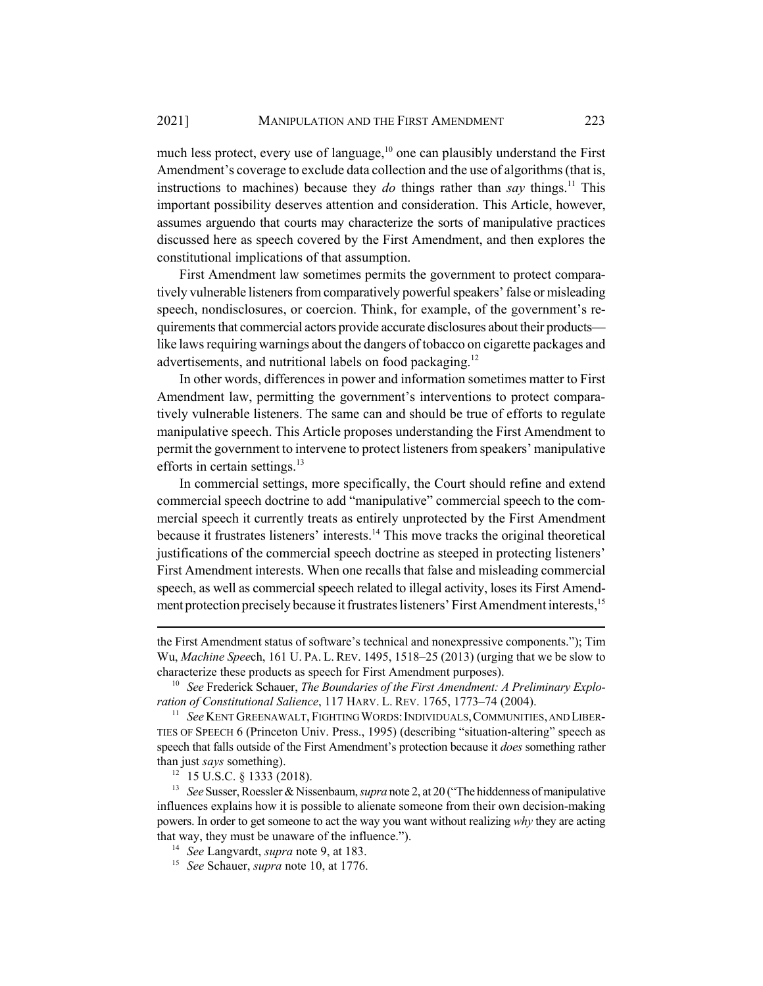much less protect, every use of language,<sup>10</sup> one can plausibly understand the First Amendment's coverage to exclude data collection and the use of algorithms (that is, instructions to machines) because they *do* things rather than *say* things.<sup>11</sup> This important possibility deserves attention and consideration. This Article, however, assumes arguendo that courts may characterize the sorts of manipulative practices discussed here as speech covered by the First Amendment, and then explores the constitutional implications of that assumption.

First Amendment law sometimes permits the government to protect comparatively vulnerable listeners from comparatively powerful speakers' false or misleading speech, nondisclosures, or coercion. Think, for example, of the government's requirements that commercial actors provide accurate disclosures about their products like laws requiring warnings about the dangers of tobacco on cigarette packages and advertisements, and nutritional labels on food packaging.12

In other words, differences in power and information sometimes matter to First Amendment law, permitting the government's interventions to protect comparatively vulnerable listeners. The same can and should be true of efforts to regulate manipulative speech. This Article proposes understanding the First Amendment to permit the government to intervene to protect listeners from speakers' manipulative efforts in certain settings.<sup>13</sup>

In commercial settings, more specifically, the Court should refine and extend commercial speech doctrine to add "manipulative" commercial speech to the commercial speech it currently treats as entirely unprotected by the First Amendment because it frustrates listeners' interests.<sup>14</sup> This move tracks the original theoretical justifications of the commercial speech doctrine as steeped in protecting listeners' First Amendment interests. When one recalls that false and misleading commercial speech, as well as commercial speech related to illegal activity, loses its First Amendment protection precisely because it frustrates listeners' First Amendment interests,<sup>15</sup>

the First Amendment status of software's technical and nonexpressive components."); Tim Wu, *Machine Spee*ch, 161 U. PA. L. REV. 1495, 1518–25 (2013) (urging that we be slow to characterize these products as speech for First Amendment purposes).

<sup>10</sup> *See* Frederick Schauer, *The Boundaries of the First Amendment: A Preliminary Exploration of Constitutional Salience*, 117 HARV. L. REV. 1765, 1773–74 (2004).

<sup>&</sup>lt;sup>11</sup> *See* KENT GREENAWALT, FIGHTING WORDS: INDIVIDUALS, COMMUNITIES, AND LIBER-TIES OF SPEECH 6 (Princeton Univ. Press., 1995) (describing "situation-altering" speech as speech that falls outside of the First Amendment's protection because it *does* something rather than just *says* something).

<sup>12</sup> 15 U.S.C. § 1333 (2018).

<sup>13</sup> *See* Susser, Roessler & Nissenbaum, *supra* note 2, at 20 ("The hiddenness of manipulative influences explains how it is possible to alienate someone from their own decision-making powers. In order to get someone to act the way you want without realizing *why* they are acting that way, they must be unaware of the influence.").

<sup>14</sup> *See* Langvardt, *supra* note 9, at 183.

<sup>15</sup> *See* Schauer, *supra* note 10, at 1776.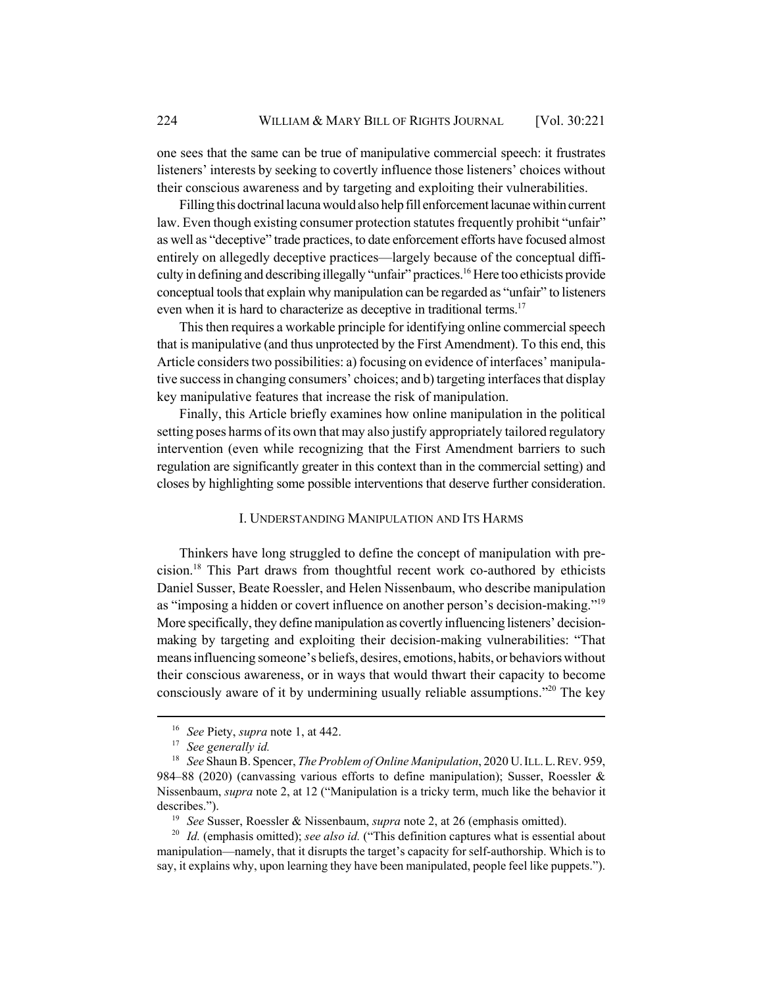one sees that the same can be true of manipulative commercial speech: it frustrates listeners' interests by seeking to covertly influence those listeners' choices without their conscious awareness and by targeting and exploiting their vulnerabilities.

Filling this doctrinal lacuna would also help fill enforcement lacunae within current law. Even though existing consumer protection statutes frequently prohibit "unfair" as well as "deceptive" trade practices, to date enforcement efforts have focused almost entirely on allegedly deceptive practices—largely because of the conceptual difficulty in defining and describing illegally "unfair" practices.<sup>16</sup> Here too ethicists provide conceptual tools that explain why manipulation can be regarded as "unfair" to listeners even when it is hard to characterize as deceptive in traditional terms.<sup>17</sup>

This then requires a workable principle for identifying online commercial speech that is manipulative (and thus unprotected by the First Amendment). To this end, this Article considers two possibilities: a) focusing on evidence of interfaces' manipulative success in changing consumers' choices; and b) targeting interfaces that display key manipulative features that increase the risk of manipulation.

Finally, this Article briefly examines how online manipulation in the political setting poses harms of its own that may also justify appropriately tailored regulatory intervention (even while recognizing that the First Amendment barriers to such regulation are significantly greater in this context than in the commercial setting) and closes by highlighting some possible interventions that deserve further consideration.

## I. UNDERSTANDING MANIPULATION AND ITS HARMS

Thinkers have long struggled to define the concept of manipulation with precision.18 This Part draws from thoughtful recent work co-authored by ethicists Daniel Susser, Beate Roessler, and Helen Nissenbaum, who describe manipulation as "imposing a hidden or covert influence on another person's decision-making."19 More specifically, they define manipulation as covertly influencing listeners' decisionmaking by targeting and exploiting their decision-making vulnerabilities: "That means influencing someone's beliefs, desires, emotions, habits, or behaviors without their conscious awareness, or in ways that would thwart their capacity to become consciously aware of it by undermining usually reliable assumptions."<sup>20</sup> The key

<sup>19</sup> *See* Susser, Roessler & Nissenbaum, *supra* note 2, at 26 (emphasis omitted).

<sup>20</sup> *Id.* (emphasis omitted); *see also id.* ("This definition captures what is essential about manipulation—namely, that it disrupts the target's capacity for self-authorship. Which is to say, it explains why, upon learning they have been manipulated, people feel like puppets.").

<sup>16</sup> *See* Piety, *supra* note 1, at 442.

<sup>17</sup> *See generally id.*

<sup>18</sup> *See* Shaun B. Spencer, *The Problem of Online Manipulation*, 2020 U.ILL.L.REV. 959, 984–88 (2020) (canvassing various efforts to define manipulation); Susser, Roessler & Nissenbaum, *supra* note 2, at 12 ("Manipulation is a tricky term, much like the behavior it describes.").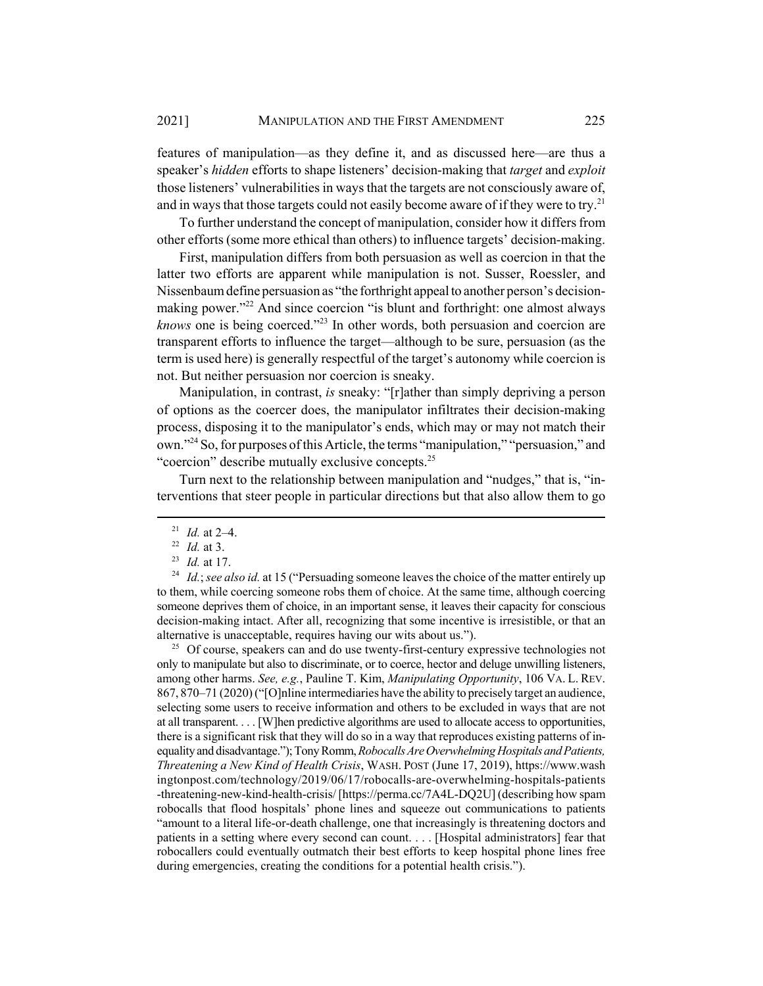features of manipulation—as they define it, and as discussed here—are thus a speaker's *hidden* efforts to shape listeners' decision-making that *target* and *exploit* those listeners' vulnerabilities in ways that the targets are not consciously aware of, and in ways that those targets could not easily become aware of if they were to try.<sup>21</sup>

To further understand the concept of manipulation, consider how it differs from other efforts (some more ethical than others) to influence targets' decision-making.

First, manipulation differs from both persuasion as well as coercion in that the latter two efforts are apparent while manipulation is not. Susser, Roessler, and Nissenbaum define persuasion as "the forthright appeal to another person's decisionmaking power."<sup>22</sup> And since coercion "is blunt and forthright: one almost always *knows* one is being coerced."23 In other words, both persuasion and coercion are transparent efforts to influence the target—although to be sure, persuasion (as the term is used here) is generally respectful of the target's autonomy while coercion is not. But neither persuasion nor coercion is sneaky.

Manipulation, in contrast, *is* sneaky: "[r]ather than simply depriving a person of options as the coercer does, the manipulator infiltrates their decision-making process, disposing it to the manipulator's ends, which may or may not match their own."24 So, for purposes of this Article, the terms "manipulation," "persuasion," and "coercion" describe mutually exclusive concepts.<sup>25</sup>

Turn next to the relationship between manipulation and "nudges," that is, "interventions that steer people in particular directions but that also allow them to go

<sup>24</sup> *Id.*; *see also id.* at 15 ("Persuading someone leaves the choice of the matter entirely up to them, while coercing someone robs them of choice. At the same time, although coercing someone deprives them of choice, in an important sense, it leaves their capacity for conscious decision-making intact. After all, recognizing that some incentive is irresistible, or that an alternative is unacceptable, requires having our wits about us.").

<sup>25</sup> Of course, speakers can and do use twenty-first-century expressive technologies not only to manipulate but also to discriminate, or to coerce, hector and deluge unwilling listeners, among other harms. *See, e.g.*, Pauline T. Kim, *Manipulating Opportunity*, 106 VA. L. REV. 867, 870–71 (2020) ("[O]nline intermediaries have the ability to precisely target an audience, selecting some users to receive information and others to be excluded in ways that are not at all transparent. . . . [W]hen predictive algorithms are used to allocate access to opportunities, there is a significant risk that they will do so in a way that reproduces existing patterns of inequality and disadvantage."); Tony Romm, *Robocalls Are Overwhelming Hospitals and Patients, Threatening a New Kind of Health Crisis*, WASH. POST (June 17, 2019), https://www.wash ingtonpost.com/technology/2019/06/17/robocalls-are-overwhelming-hospitals-patients -threatening-new-kind-health-crisis/ [https://perma.cc/7A4L-DQ2U] (describing how spam robocalls that flood hospitals' phone lines and squeeze out communications to patients "amount to a literal life-or-death challenge, one that increasingly is threatening doctors and patients in a setting where every second can count. . . . [Hospital administrators] fear that robocallers could eventually outmatch their best efforts to keep hospital phone lines free during emergencies, creating the conditions for a potential health crisis.").

<sup>21</sup> *Id.* at 2–4.

<sup>22</sup> *Id.* at 3.

<sup>23</sup> *Id.* at 17.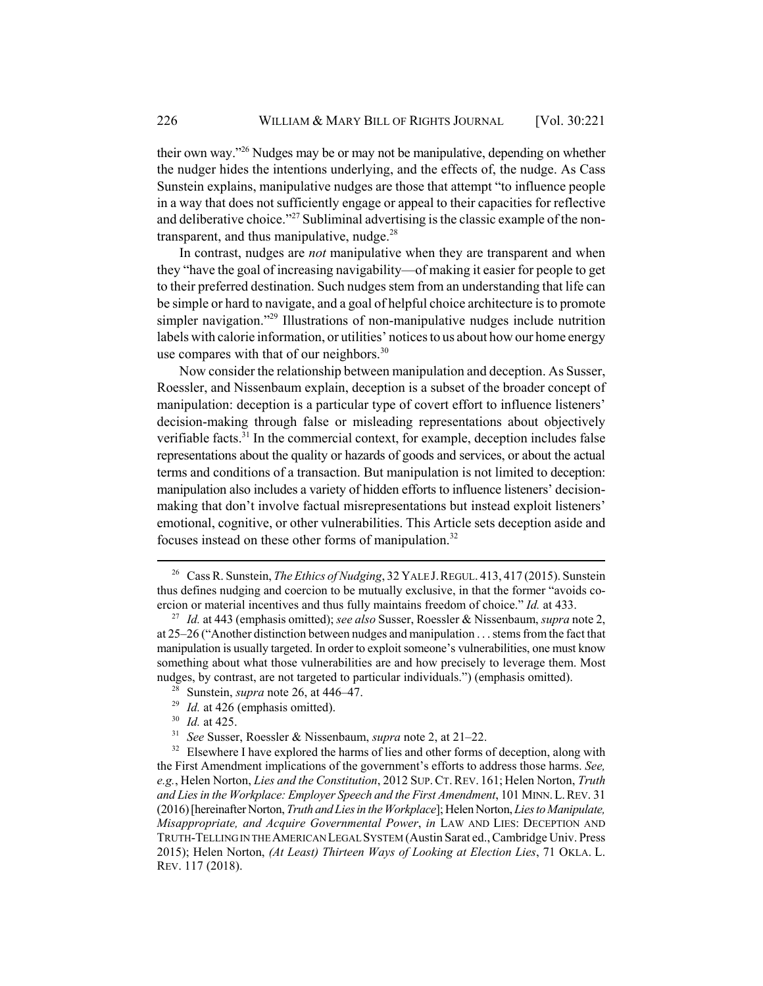their own way."26 Nudges may be or may not be manipulative, depending on whether the nudger hides the intentions underlying, and the effects of, the nudge. As Cass Sunstein explains, manipulative nudges are those that attempt "to influence people in a way that does not sufficiently engage or appeal to their capacities for reflective and deliberative choice."<sup>27</sup> Subliminal advertising is the classic example of the nontransparent, and thus manipulative, nudge. $28$ 

In contrast, nudges are *not* manipulative when they are transparent and when they "have the goal of increasing navigability—of making it easier for people to get to their preferred destination. Such nudges stem from an understanding that life can be simple or hard to navigate, and a goal of helpful choice architecture is to promote simpler navigation."<sup>29</sup> Illustrations of non-manipulative nudges include nutrition labels with calorie information, or utilities' notices to us about how our home energy use compares with that of our neighbors.<sup>30</sup>

Now consider the relationship between manipulation and deception. As Susser, Roessler, and Nissenbaum explain, deception is a subset of the broader concept of manipulation: deception is a particular type of covert effort to influence listeners' decision-making through false or misleading representations about objectively verifiable facts.<sup>31</sup> In the commercial context, for example, deception includes false representations about the quality or hazards of goods and services, or about the actual terms and conditions of a transaction. But manipulation is not limited to deception: manipulation also includes a variety of hidden efforts to influence listeners' decisionmaking that don't involve factual misrepresentations but instead exploit listeners' emotional, cognitive, or other vulnerabilities. This Article sets deception aside and focuses instead on these other forms of manipulation.<sup>32</sup>

- <sup>28</sup> Sunstein, *supra* note 26, at 446–47.
- <sup>29</sup> *Id.* at 426 (emphasis omitted).
- <sup>30</sup> *Id.* at 425.<br><sup>31</sup> *See* Susser
- <sup>31</sup> *See* Susser, Roessler & Nissenbaum, *supra* note 2, at 21–22.

 $32$  Elsewhere I have explored the harms of lies and other forms of deception, along with the First Amendment implications of the government's efforts to address those harms. *See, e.g.*, Helen Norton, *Lies and the Constitution*, 2012 SUP.CT.REV. 161; Helen Norton, *Truth and Lies in the Workplace: Employer Speech and the First Amendment*, 101 MINN.L.REV. 31 (2016) [hereinafter Norton, *Truth and Lies in the Workplace*]; Helen Norton, *Lies to Manipulate, Misappropriate, and Acquire Governmental Power*, *in* LAW AND LIES: DECEPTION AND TRUTH-TELLING IN THE AMERICAN LEGAL SYSTEM (Austin Sarat ed., Cambridge Univ. Press 2015); Helen Norton, *(At Least) Thirteen Ways of Looking at Election Lies*, 71 OKLA. L. REV. 117 (2018).

<sup>&</sup>lt;sup>26</sup> Cass R. Sunstein, *The Ethics of Nudging*, 32 YALE J. REGUL. 413, 417 (2015). Sunstein thus defines nudging and coercion to be mutually exclusive, in that the former "avoids coercion or material incentives and thus fully maintains freedom of choice." *Id.* at 433.

<sup>27</sup> *Id.* at 443 (emphasis omitted); *see also* Susser, Roessler & Nissenbaum, *supra* note 2, at 25–26 ("Another distinction between nudges and manipulation . . . stems from the fact that manipulation is usually targeted. In order to exploit someone's vulnerabilities, one must know something about what those vulnerabilities are and how precisely to leverage them. Most nudges, by contrast, are not targeted to particular individuals.") (emphasis omitted).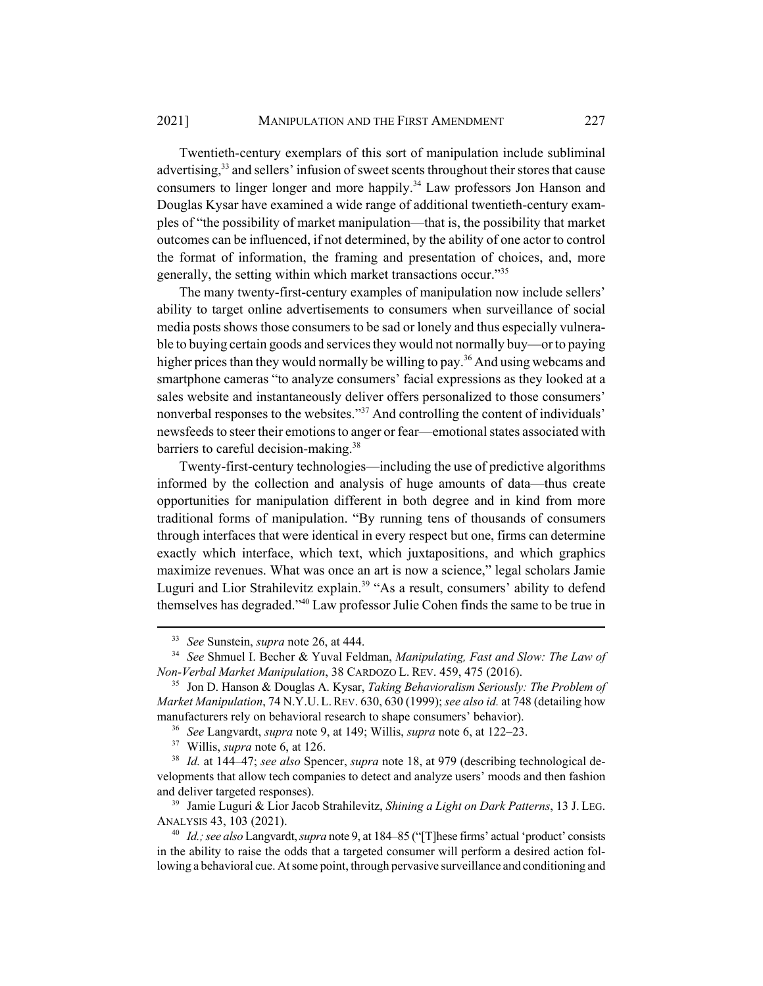Twentieth-century exemplars of this sort of manipulation include subliminal advertising,<sup>33</sup> and sellers' infusion of sweet scents throughout their stores that cause consumers to linger longer and more happily.<sup>34</sup> Law professors Jon Hanson and Douglas Kysar have examined a wide range of additional twentieth-century examples of "the possibility of market manipulation—that is, the possibility that market outcomes can be influenced, if not determined, by the ability of one actor to control the format of information, the framing and presentation of choices, and, more generally, the setting within which market transactions occur."35

The many twenty-first-century examples of manipulation now include sellers' ability to target online advertisements to consumers when surveillance of social media posts shows those consumers to be sad or lonely and thus especially vulnerable to buying certain goods and services they would not normally buy—or to paying higher prices than they would normally be willing to pay.<sup>36</sup> And using webcams and smartphone cameras "to analyze consumers' facial expressions as they looked at a sales website and instantaneously deliver offers personalized to those consumers' nonverbal responses to the websites."<sup>37</sup> And controlling the content of individuals' newsfeeds to steer their emotions to anger or fear—emotional states associated with barriers to careful decision-making.<sup>38</sup>

Twenty-first-century technologies—including the use of predictive algorithms informed by the collection and analysis of huge amounts of data—thus create opportunities for manipulation different in both degree and in kind from more traditional forms of manipulation. "By running tens of thousands of consumers through interfaces that were identical in every respect but one, firms can determine exactly which interface, which text, which juxtapositions, and which graphics maximize revenues. What was once an art is now a science," legal scholars Jamie Luguri and Lior Strahilevitz explain.<sup>39</sup> "As a result, consumers' ability to defend themselves has degraded."40 Law professor Julie Cohen finds the same to be true in

<sup>33</sup> *See* Sunstein, *supra* note 26, at 444.

<sup>34</sup> *See* Shmuel I. Becher & Yuval Feldman, *Manipulating, Fast and Slow: The Law of Non-Verbal Market Manipulation*, 38 CARDOZO L. REV. 459, 475 (2016).

<sup>35</sup> Jon D. Hanson & Douglas A. Kysar, *Taking Behavioralism Seriously: The Problem of Market Manipulation*, 74 N.Y.U.L.REV. 630, 630 (1999); *see also id.* at 748 (detailing how manufacturers rely on behavioral research to shape consumers' behavior).

<sup>36</sup> *See* Langvardt, *supra* note 9, at 149; Willis, *supra* note 6, at 122–23.

<sup>37</sup> Willis, *supra* note 6, at 126.

<sup>38</sup> *Id.* at 144–47; *see also* Spencer, *supra* note 18, at 979 (describing technological developments that allow tech companies to detect and analyze users' moods and then fashion and deliver targeted responses).

<sup>39</sup> Jamie Luguri & Lior Jacob Strahilevitz, *Shining a Light on Dark Patterns*, 13 J. LEG. ANALYSIS 43, 103 (2021).

<sup>40</sup> *Id.; see also* Langvardt, *supra* note 9, at 184–85 ("[T]hese firms' actual 'product' consists in the ability to raise the odds that a targeted consumer will perform a desired action following a behavioral cue. At some point, through pervasive surveillance and conditioning and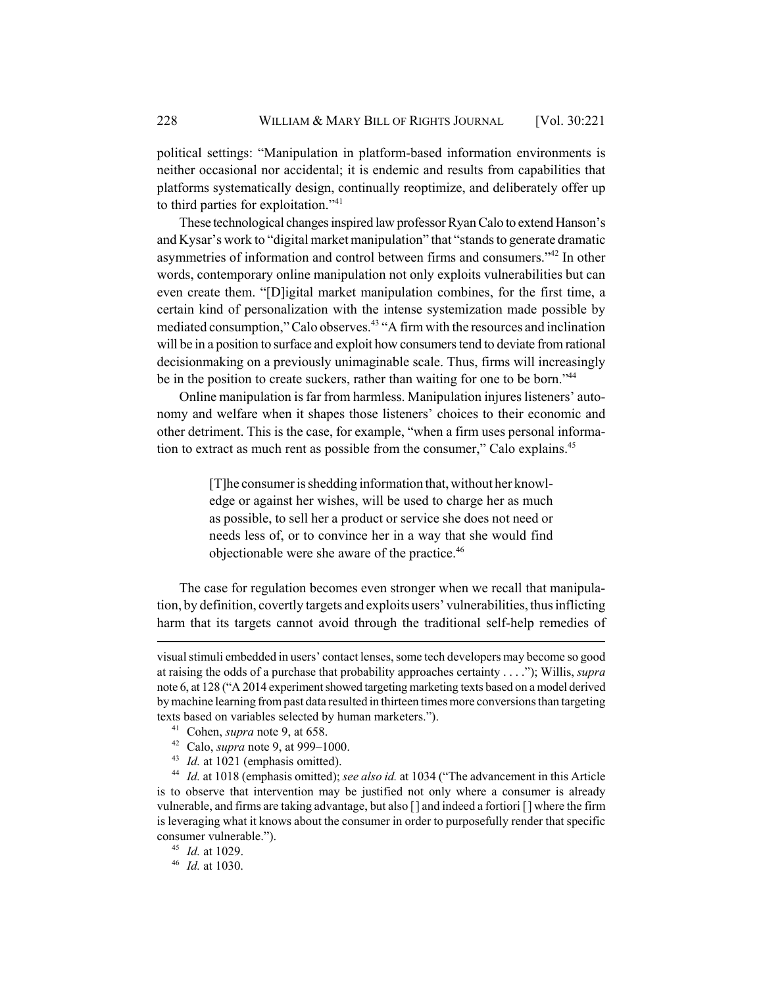political settings: "Manipulation in platform-based information environments is neither occasional nor accidental; it is endemic and results from capabilities that platforms systematically design, continually reoptimize, and deliberately offer up to third parties for exploitation."<sup>41</sup>

These technological changes inspired law professor Ryan Calo to extend Hanson's and Kysar's work to "digital market manipulation" that "stands to generate dramatic asymmetries of information and control between firms and consumers."42 In other words, contemporary online manipulation not only exploits vulnerabilities but can even create them. "[D]igital market manipulation combines, for the first time, a certain kind of personalization with the intense systemization made possible by mediated consumption," Calo observes.<sup>43</sup> "A firm with the resources and inclination will be in a position to surface and exploit how consumers tend to deviate from rational decisionmaking on a previously unimaginable scale. Thus, firms will increasingly be in the position to create suckers, rather than waiting for one to be born."<sup>44</sup>

Online manipulation is far from harmless. Manipulation injures listeners' autonomy and welfare when it shapes those listeners' choices to their economic and other detriment. This is the case, for example, "when a firm uses personal information to extract as much rent as possible from the consumer," Calo explains.<sup>45</sup>

> [T]he consumer is shedding information that, without her knowledge or against her wishes, will be used to charge her as much as possible, to sell her a product or service she does not need or needs less of, or to convince her in a way that she would find objectionable were she aware of the practice.46

The case for regulation becomes even stronger when we recall that manipulation, by definition, covertly targets and exploits users' vulnerabilities, thus inflicting harm that its targets cannot avoid through the traditional self-help remedies of

- <sup>41</sup> Cohen, *supra* note 9, at 658.
- <sup>42</sup> Calo, *supra* note 9, at 999–1000.
- <sup>43</sup> *Id.* at 1021 (emphasis omitted).

<sup>44</sup> *Id.* at 1018 (emphasis omitted); *see also id.* at 1034 ("The advancement in this Article is to observe that intervention may be justified not only where a consumer is already vulnerable, and firms are taking advantage, but also [] and indeed a fortiori [] where the firm is leveraging what it knows about the consumer in order to purposefully render that specific consumer vulnerable.").

<sup>45</sup> *Id.* at 1029.

<sup>46</sup> *Id.* at 1030.

visual stimuli embedded in users' contact lenses, some tech developers may become so good at raising the odds of a purchase that probability approaches certainty . . . ."); Willis, *supra* note 6, at 128 ("A 2014 experiment showed targeting marketing texts based on a model derived by machine learning from past data resulted in thirteen times more conversions than targeting texts based on variables selected by human marketers.").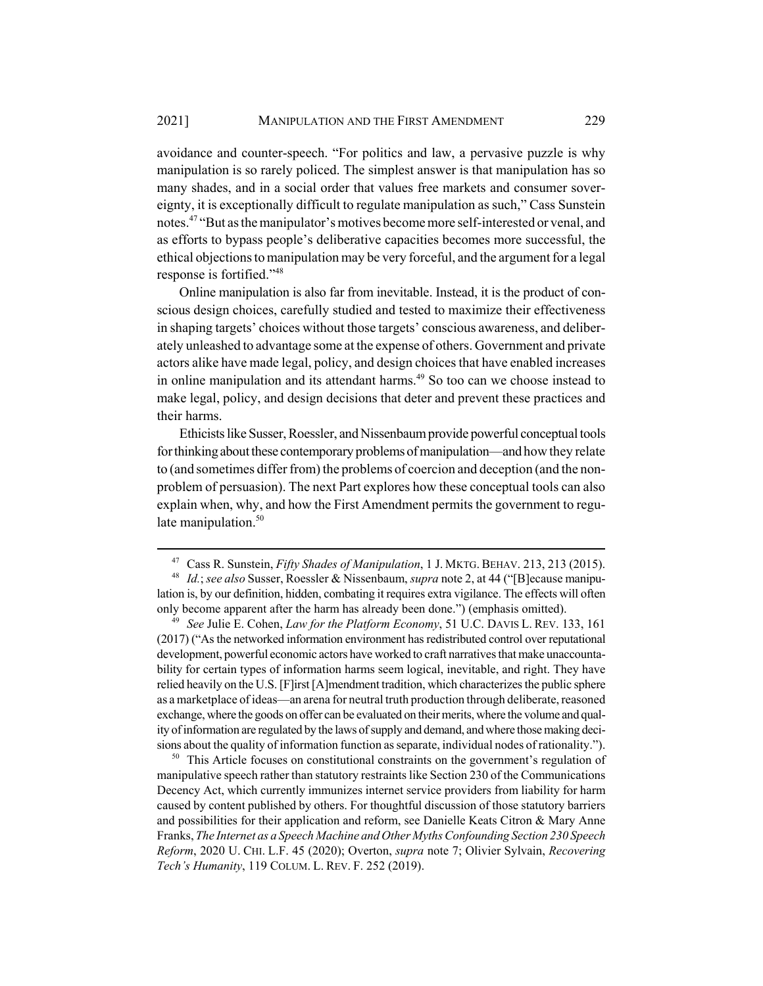avoidance and counter-speech. "For politics and law, a pervasive puzzle is why manipulation is so rarely policed. The simplest answer is that manipulation has so many shades, and in a social order that values free markets and consumer sovereignty, it is exceptionally difficult to regulate manipulation as such," Cass Sunstein notes.47 "But as the manipulator's motives become more self-interested or venal, and as efforts to bypass people's deliberative capacities becomes more successful, the ethical objections to manipulation may be very forceful, and the argument for a legal response is fortified."48

Online manipulation is also far from inevitable. Instead, it is the product of conscious design choices, carefully studied and tested to maximize their effectiveness in shaping targets' choices without those targets' conscious awareness, and deliberately unleashed to advantage some at the expense of others. Government and private actors alike have made legal, policy, and design choices that have enabled increases in online manipulation and its attendant harms.<sup>49</sup> So too can we choose instead to make legal, policy, and design decisions that deter and prevent these practices and their harms.

Ethicists like Susser, Roessler, and Nissenbaum provide powerful conceptual tools for thinking about these contemporary problems of manipulation—and how they relate to (and sometimes differ from) the problems of coercion and deception (and the nonproblem of persuasion). The next Part explores how these conceptual tools can also explain when, why, and how the First Amendment permits the government to regulate manipulation.<sup>50</sup>

 $50$  This Article focuses on constitutional constraints on the government's regulation of manipulative speech rather than statutory restraints like Section 230 of the Communications Decency Act, which currently immunizes internet service providers from liability for harm caused by content published by others. For thoughtful discussion of those statutory barriers and possibilities for their application and reform, see Danielle Keats Citron & Mary Anne Franks, *The Internet as a Speech Machine and Other Myths Confounding Section 230 Speech Reform*, 2020 U. CHI. L.F. 45 (2020); Overton, *supra* note 7; Olivier Sylvain, *Recovering Tech's Humanity*, 119 COLUM. L. REV. F. 252 (2019).

<sup>47</sup> Cass R. Sunstein, *Fifty Shades of Manipulation*, 1 J. MKTG. BEHAV. 213, 213 (2015). <sup>48</sup> *Id.*; *see also* Susser, Roessler & Nissenbaum, *supra* note 2, at 44 ("[B]ecause manipulation is, by our definition, hidden, combating it requires extra vigilance. The effects will often only become apparent after the harm has already been done.") (emphasis omitted).

<sup>49</sup> *See* Julie E. Cohen, *Law for the Platform Economy*, 51 U.C. DAVIS L. REV. 133, 161 (2017) ("As the networked information environment has redistributed control over reputational development, powerful economic actors have worked to craft narratives that make unaccountability for certain types of information harms seem logical, inevitable, and right. They have relied heavily on the U.S. [F]irst [A]mendment tradition, which characterizes the public sphere as a marketplace of ideas—an arena for neutral truth production through deliberate, reasoned exchange, where the goods on offer can be evaluated on their merits, where the volume and quality of information are regulated by the laws of supply and demand, and where those making decisions about the quality of information function as separate, individual nodes of rationality.").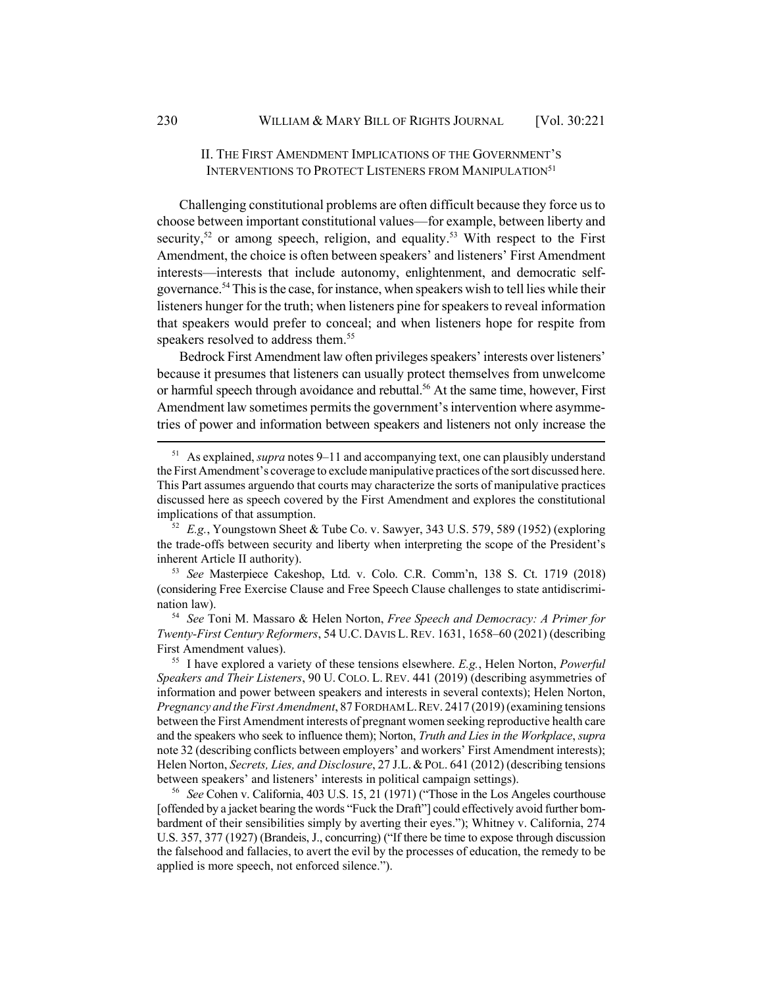# II. THE FIRST AMENDMENT IMPLICATIONS OF THE GOVERNMENT'S INTERVENTIONS TO PROTECT LISTENERS FROM MANIPULATION<sup>51</sup>

Challenging constitutional problems are often difficult because they force us to choose between important constitutional values—for example, between liberty and security,<sup>52</sup> or among speech, religion, and equality.<sup>53</sup> With respect to the First Amendment, the choice is often between speakers' and listeners' First Amendment interests—interests that include autonomy, enlightenment, and democratic selfgovernance.<sup>54</sup> This is the case, for instance, when speakers wish to tell lies while their listeners hunger for the truth; when listeners pine for speakers to reveal information that speakers would prefer to conceal; and when listeners hope for respite from speakers resolved to address them.<sup>55</sup>

Bedrock First Amendment law often privileges speakers' interests over listeners' because it presumes that listeners can usually protect themselves from unwelcome or harmful speech through avoidance and rebuttal.<sup>56</sup> At the same time, however, First Amendment law sometimes permits the government's intervention where asymmetries of power and information between speakers and listeners not only increase the

<sup>53</sup> *See* Masterpiece Cakeshop, Ltd. v. Colo. C.R. Comm'n, 138 S. Ct. 1719 (2018) (considering Free Exercise Clause and Free Speech Clause challenges to state antidiscrimination law).

<sup>54</sup> *See* Toni M. Massaro & Helen Norton, *Free Speech and Democracy: A Primer for Twenty-First Century Reformers*, 54 U.C. DAVIS L.REV. 1631, 1658–60 (2021) (describing First Amendment values).

<sup>51</sup> As explained, *supra* notes 9–11 and accompanying text, one can plausibly understand the First Amendment's coverage to exclude manipulative practices of the sort discussed here. This Part assumes arguendo that courts may characterize the sorts of manipulative practices discussed here as speech covered by the First Amendment and explores the constitutional implications of that assumption.

<sup>52</sup> *E.g.*, Youngstown Sheet & Tube Co. v. Sawyer, 343 U.S. 579, 589 (1952) (exploring the trade-offs between security and liberty when interpreting the scope of the President's inherent Article II authority).

<sup>55</sup> I have explored a variety of these tensions elsewhere. *E.g.*, Helen Norton, *Powerful Speakers and Their Listeners*, 90 U. COLO. L. REV. 441 (2019) (describing asymmetries of information and power between speakers and interests in several contexts); Helen Norton, *Pregnancy and the First Amendment*, 87 FORDHAM L.REV. 2417 (2019) (examining tensions between the First Amendment interests of pregnant women seeking reproductive health care and the speakers who seek to influence them); Norton, *Truth and Lies in the Workplace*, *supra* note 32 (describing conflicts between employers' and workers' First Amendment interests); Helen Norton, *Secrets, Lies, and Disclosure*, 27 J.L.&POL. 641 (2012) (describing tensions between speakers' and listeners' interests in political campaign settings).

<sup>56</sup> *See* Cohen v. California, 403 U.S. 15, 21 (1971) ("Those in the Los Angeles courthouse [offended by a jacket bearing the words "Fuck the Draft"] could effectively avoid further bombardment of their sensibilities simply by averting their eyes."); Whitney v. California, 274 U.S. 357, 377 (1927) (Brandeis, J., concurring) ("If there be time to expose through discussion the falsehood and fallacies, to avert the evil by the processes of education, the remedy to be applied is more speech, not enforced silence.").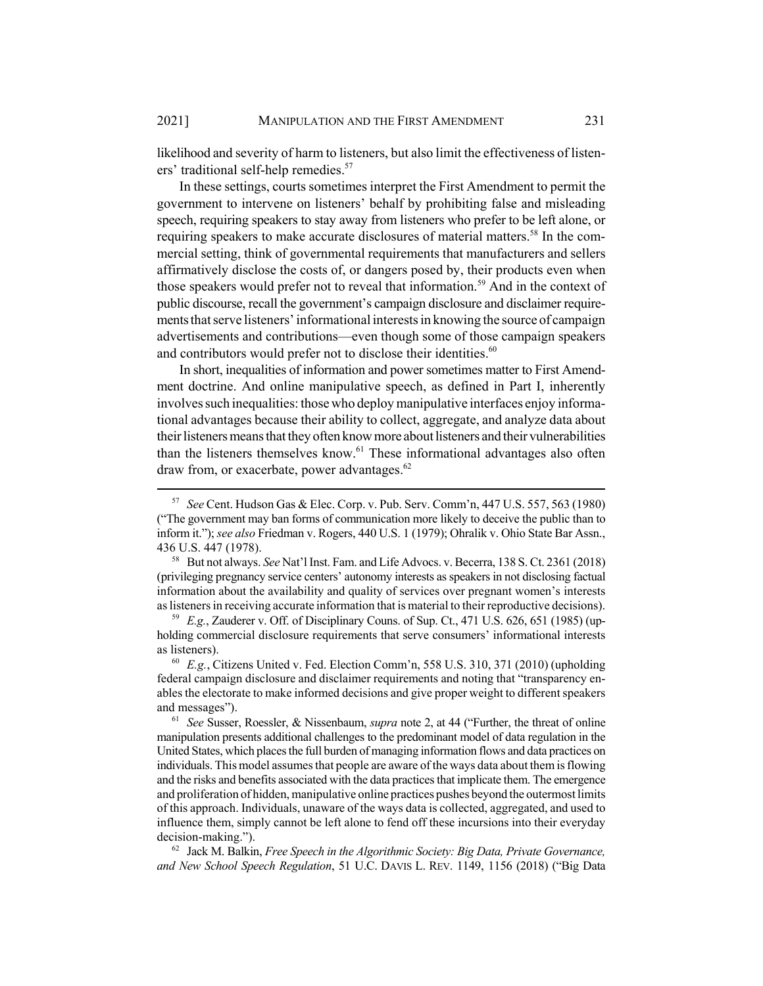likelihood and severity of harm to listeners, but also limit the effectiveness of listeners' traditional self-help remedies.<sup>57</sup>

In these settings, courts sometimes interpret the First Amendment to permit the government to intervene on listeners' behalf by prohibiting false and misleading speech, requiring speakers to stay away from listeners who prefer to be left alone, or requiring speakers to make accurate disclosures of material matters.<sup>58</sup> In the commercial setting, think of governmental requirements that manufacturers and sellers affirmatively disclose the costs of, or dangers posed by, their products even when those speakers would prefer not to reveal that information.<sup>59</sup> And in the context of public discourse, recall the government's campaign disclosure and disclaimer requirements that serve listeners' informational interests in knowing the source of campaign advertisements and contributions—even though some of those campaign speakers and contributors would prefer not to disclose their identities. $60$ 

In short, inequalities of information and power sometimes matter to First Amendment doctrine. And online manipulative speech, as defined in Part I, inherently involves such inequalities: those who deploy manipulative interfaces enjoy informational advantages because their ability to collect, aggregate, and analyze data about their listeners means that they often know more about listeners and their vulnerabilities than the listeners themselves know.<sup>61</sup> These informational advantages also often draw from, or exacerbate, power advantages.<sup>62</sup>

<sup>57</sup> *See* Cent. Hudson Gas & Elec. Corp. v. Pub. Serv. Comm'n, 447 U.S. 557, 563 (1980) ("The government may ban forms of communication more likely to deceive the public than to inform it."); *see also* Friedman v. Rogers, 440 U.S. 1 (1979); Ohralik v. Ohio State Bar Assn., 436 U.S. 447 (1978).

<sup>58</sup> But not always. *See* Nat'l Inst. Fam. and Life Advocs. v. Becerra, 138 S. Ct. 2361 (2018) (privileging pregnancy service centers' autonomy interests as speakers in not disclosing factual information about the availability and quality of services over pregnant women's interests as listeners in receiving accurate information that is material to their reproductive decisions).

<sup>59</sup> *E.g.*, Zauderer v. Off. of Disciplinary Couns. of Sup. Ct., 471 U.S. 626, 651 (1985) (upholding commercial disclosure requirements that serve consumers' informational interests as listeners).

<sup>60</sup> *E.g.*, Citizens United v. Fed. Election Comm'n, 558 U.S. 310, 371 (2010) (upholding federal campaign disclosure and disclaimer requirements and noting that "transparency enables the electorate to make informed decisions and give proper weight to different speakers and messages").

<sup>61</sup> *See* Susser, Roessler, & Nissenbaum, *supra* note 2, at 44 ("Further, the threat of online manipulation presents additional challenges to the predominant model of data regulation in the United States, which places the full burden of managing information flows and data practices on individuals. This model assumes that people are aware of the ways data about them is flowing and the risks and benefits associated with the data practices that implicate them. The emergence and proliferation of hidden, manipulative online practices pushes beyond the outermost limits of this approach. Individuals, unaware of the ways data is collected, aggregated, and used to influence them, simply cannot be left alone to fend off these incursions into their everyday decision-making.").

<sup>62</sup> Jack M. Balkin, *Free Speech in the Algorithmic Society: Big Data, Private Governance, and New School Speech Regulation*, 51 U.C. DAVIS L. REV. 1149, 1156 (2018) ("Big Data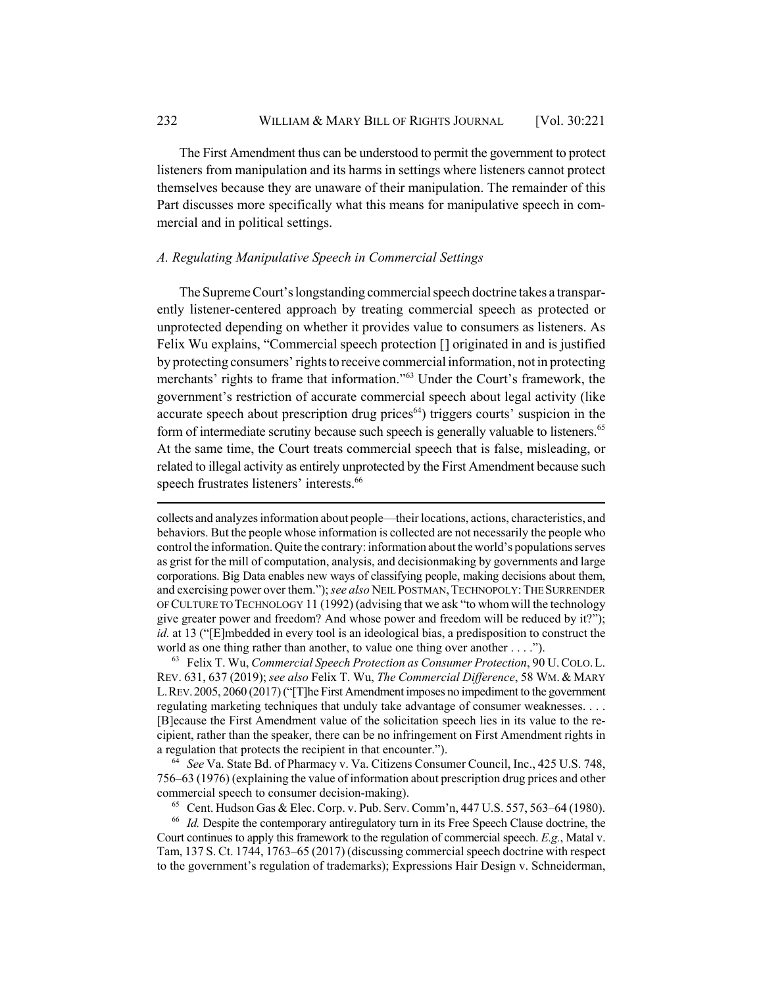The First Amendment thus can be understood to permit the government to protect listeners from manipulation and its harms in settings where listeners cannot protect themselves because they are unaware of their manipulation. The remainder of this Part discusses more specifically what this means for manipulative speech in commercial and in political settings.

## *A. Regulating Manipulative Speech in Commercial Settings*

The Supreme Court's longstanding commercial speech doctrine takes a transparently listener-centered approach by treating commercial speech as protected or unprotected depending on whether it provides value to consumers as listeners. As Felix Wu explains, "Commercial speech protection [] originated in and is justified by protecting consumers' rights to receive commercial information, not in protecting merchants' rights to frame that information."63 Under the Court's framework, the government's restriction of accurate commercial speech about legal activity (like accurate speech about prescription drug prices $64$ ) triggers courts' suspicion in the form of intermediate scrutiny because such speech is generally valuable to listeners.<sup>65</sup> At the same time, the Court treats commercial speech that is false, misleading, or related to illegal activity as entirely unprotected by the First Amendment because such speech frustrates listeners' interests.<sup>66</sup>

collects and analyzes information about people—their locations, actions, characteristics, and behaviors. But the people whose information is collected are not necessarily the people who control the information. Quite the contrary: information about the world's populations serves as grist for the mill of computation, analysis, and decisionmaking by governments and large corporations. Big Data enables new ways of classifying people, making decisions about them, and exercising power over them."); *see also* NEIL POSTMAN, TECHNOPOLY: THE SURRENDER OF CULTURE TO TECHNOLOGY 11 (1992) (advising that we ask "to whom will the technology give greater power and freedom? And whose power and freedom will be reduced by it?"); *id.* at 13 ("[E]mbedded in every tool is an ideological bias, a predisposition to construct the world as one thing rather than another, to value one thing over another . . . .").

<sup>63</sup> Felix T. Wu, *Commercial Speech Protection as Consumer Protection*, 90 U.COLO.L. REV. 631, 637 (2019); *see also* Felix T. Wu, *The Commercial Difference*, 58 WM. & MARY L.REV.2005, 2060 (2017) ("[T]he First Amendment imposes no impediment to the government regulating marketing techniques that unduly take advantage of consumer weaknesses. . . . [B]ecause the First Amendment value of the solicitation speech lies in its value to the recipient, rather than the speaker, there can be no infringement on First Amendment rights in a regulation that protects the recipient in that encounter.").

<sup>64</sup> *See* Va. State Bd. of Pharmacy v. Va. Citizens Consumer Council, Inc., 425 U.S. 748, 756–63 (1976) (explaining the value of information about prescription drug prices and other commercial speech to consumer decision-making).

<sup>65</sup> Cent. Hudson Gas & Elec. Corp. v. Pub. Serv. Comm'n, 447 U.S. 557, 563–64 (1980).

<sup>66</sup> *Id.* Despite the contemporary antiregulatory turn in its Free Speech Clause doctrine, the Court continues to apply this framework to the regulation of commercial speech. *E.g.*, Matal v. Tam, 137 S. Ct. 1744, 1763–65 (2017) (discussing commercial speech doctrine with respect to the government's regulation of trademarks); Expressions Hair Design v. Schneiderman,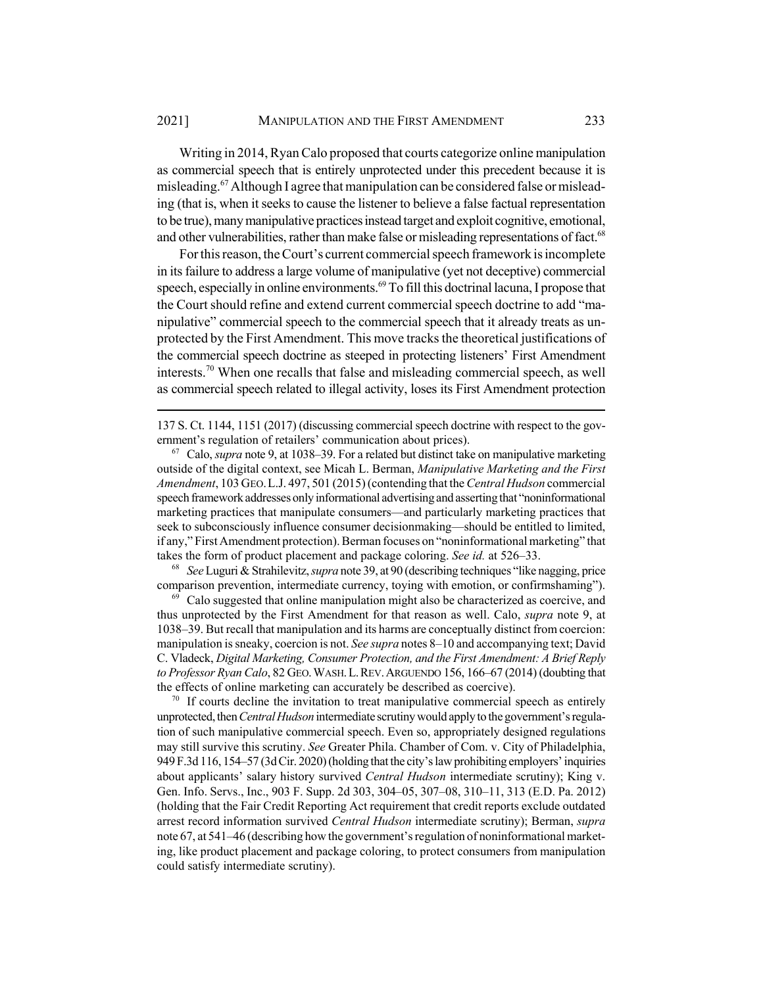Writing in 2014, Ryan Calo proposed that courts categorize online manipulation as commercial speech that is entirely unprotected under this precedent because it is misleading.<sup>67</sup> Although I agree that manipulation can be considered false or misleading (that is, when it seeks to cause the listener to believe a false factual representation to be true), many manipulative practices instead target and exploit cognitive, emotional, and other vulnerabilities, rather than make false or misleading representations of fact.<sup>68</sup>

For this reason, the Court's current commercial speech framework is incomplete in its failure to address a large volume of manipulative (yet not deceptive) commercial speech, especially in online environments.<sup>69</sup> To fill this doctrinal lacuna, I propose that the Court should refine and extend current commercial speech doctrine to add "manipulative" commercial speech to the commercial speech that it already treats as unprotected by the First Amendment. This move tracks the theoretical justifications of the commercial speech doctrine as steeped in protecting listeners' First Amendment interests.<sup>70</sup> When one recalls that false and misleading commercial speech, as well as commercial speech related to illegal activity, loses its First Amendment protection

137 S. Ct. 1144, 1151 (2017) (discussing commercial speech doctrine with respect to the government's regulation of retailers' communication about prices).

<sup>67</sup> Calo, *supra* note 9, at 1038–39. For a related but distinct take on manipulative marketing outside of the digital context, see Micah L. Berman, *Manipulative Marketing and the First Amendment*, 103 GEO.L.J. 497, 501 (2015) (contending that the *Central Hudson* commercial speech framework addresses only informational advertising and asserting that "noninformational marketing practices that manipulate consumers—and particularly marketing practices that seek to subconsciously influence consumer decisionmaking—should be entitled to limited, if any," First Amendment protection). Berman focuses on "noninformational marketing" that takes the form of product placement and package coloring. *See id.* at 526–33.

<sup>68</sup> *See* Luguri & Strahilevitz, *supra* note 39, at 90 (describing techniques "like nagging, price comparison prevention, intermediate currency, toying with emotion, or confirmshaming").

 $69$  Calo suggested that online manipulation might also be characterized as coercive, and thus unprotected by the First Amendment for that reason as well. Calo, *supra* note 9, at 1038–39. But recall that manipulation and its harms are conceptually distinct from coercion: manipulation is sneaky, coercion is not. *See supra* notes 8–10 and accompanying text; David C. Vladeck, *Digital Marketing, Consumer Protection, and the First Amendment: A Brief Reply to Professor Ryan Calo*, 82 GEO.WASH.L.REV.ARGUENDO 156, 166–67 (2014) (doubting that the effects of online marketing can accurately be described as coercive).

 $70$  If courts decline the invitation to treat manipulative commercial speech as entirely unprotected, then *Central Hudson* intermediate scrutiny would apply to the government's regulation of such manipulative commercial speech. Even so, appropriately designed regulations may still survive this scrutiny. *See* Greater Phila. Chamber of Com. v. City of Philadelphia, 949 F.3d 116, 154–57 (3d Cir. 2020) (holding that the city's law prohibiting employers' inquiries about applicants' salary history survived *Central Hudson* intermediate scrutiny); King v. Gen. Info. Servs., Inc., 903 F. Supp. 2d 303, 304–05, 307–08, 310–11, 313 (E.D. Pa. 2012) (holding that the Fair Credit Reporting Act requirement that credit reports exclude outdated arrest record information survived *Central Hudson* intermediate scrutiny); Berman, *supra* note 67, at 541–46 (describing how the government's regulation of noninformational marketing, like product placement and package coloring, to protect consumers from manipulation could satisfy intermediate scrutiny).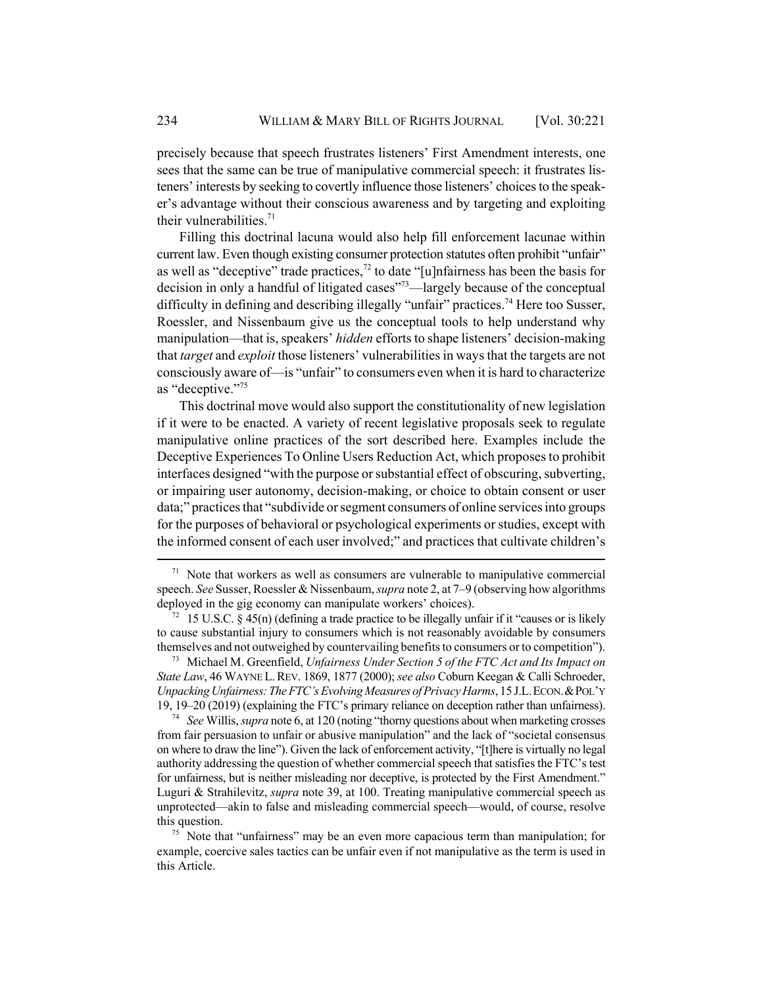precisely because that speech frustrates listeners' First Amendment interests, one sees that the same can be true of manipulative commercial speech: it frustrates listeners' interests by seeking to covertly influence those listeners' choices to the speaker's advantage without their conscious awareness and by targeting and exploiting their vulnerabilities. $71$ 

Filling this doctrinal lacuna would also help fill enforcement lacunae within current law. Even though existing consumer protection statutes often prohibit "unfair" as well as "deceptive" trade practices, $^{72}$  to date "[u]nfairness has been the basis for decision in only a handful of litigated cases"73—largely because of the conceptual difficulty in defining and describing illegally "unfair" practices.<sup>74</sup> Here too Susser, Roessler, and Nissenbaum give us the conceptual tools to help understand why manipulation—that is, speakers' *hidden* efforts to shape listeners' decision-making that *target* and *exploit* those listeners' vulnerabilities in ways that the targets are not consciously aware of—is "unfair" to consumers even when it is hard to characterize as "deceptive."<sup>75</sup>

This doctrinal move would also support the constitutionality of new legislation if it were to be enacted. A variety of recent legislative proposals seek to regulate manipulative online practices of the sort described here. Examples include the Deceptive Experiences To Online Users Reduction Act, which proposes to prohibit interfaces designed "with the purpose or substantial effect of obscuring, subverting, or impairing user autonomy, decision-making, or choice to obtain consent or user data;" practices that "subdivide or segment consumers of online services into groups for the purposes of behavioral or psychological experiments or studies, except with the informed consent of each user involved;" and practices that cultivate children's

 $71$  Note that workers as well as consumers are vulnerable to manipulative commercial speech. *See* Susser, Roessler & Nissenbaum, *supra* note 2, at 7–9 (observing how algorithms deployed in the gig economy can manipulate workers' choices).

 $72 \quad 15 \text{ U.S.C. }$  § 45(n) (defining a trade practice to be illegally unfair if it "causes or is likely to cause substantial injury to consumers which is not reasonably avoidable by consumers themselves and not outweighed by countervailing benefits to consumers or to competition").

<sup>73</sup> Michael M. Greenfield, *Unfairness Under Section 5 of the FTC Act and Its Impact on State Law*, 46 WAYNE L.REV. 1869, 1877 (2000); *see also* Coburn Keegan & Calli Schroeder, *Unpacking Unfairness: The FTC's Evolving Measures of Privacy Harms*, 15 J.L.ECON.&POL'Y 19, 19–20 (2019) (explaining the FTC's primary reliance on deception rather than unfairness).

<sup>74</sup> *See* Willis, *supra* note 6, at 120 (noting "thorny questions about when marketing crosses from fair persuasion to unfair or abusive manipulation" and the lack of "societal consensus on where to draw the line"). Given the lack of enforcement activity, "[t]here is virtually no legal authority addressing the question of whether commercial speech that satisfies the FTC's test for unfairness, but is neither misleading nor deceptive, is protected by the First Amendment." Luguri & Strahilevitz, *supra* note 39, at 100. Treating manipulative commercial speech as unprotected—akin to false and misleading commercial speech—would, of course, resolve this question.

 $75$  Note that "unfairness" may be an even more capacious term than manipulation; for example, coercive sales tactics can be unfair even if not manipulative as the term is used in this Article.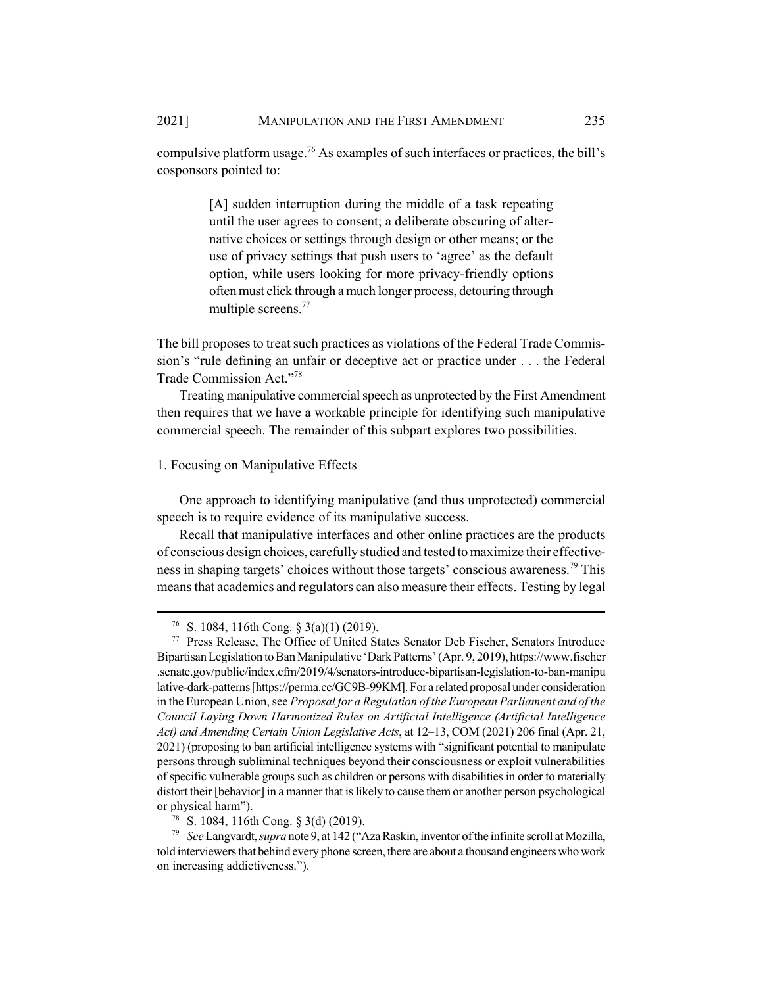compulsive platform usage.<sup>76</sup> As examples of such interfaces or practices, the bill's cosponsors pointed to:

> [A] sudden interruption during the middle of a task repeating until the user agrees to consent; a deliberate obscuring of alternative choices or settings through design or other means; or the use of privacy settings that push users to 'agree' as the default option, while users looking for more privacy-friendly options often must click through a much longer process, detouring through multiple screens.77

The bill proposes to treat such practices as violations of the Federal Trade Commission's "rule defining an unfair or deceptive act or practice under . . . the Federal Trade Commission Act."78

Treating manipulative commercial speech as unprotected by the First Amendment then requires that we have a workable principle for identifying such manipulative commercial speech. The remainder of this subpart explores two possibilities.

## 1. Focusing on Manipulative Effects

One approach to identifying manipulative (and thus unprotected) commercial speech is to require evidence of its manipulative success.

Recall that manipulative interfaces and other online practices are the products of conscious design choices, carefully studied and tested to maximize their effectiveness in shaping targets' choices without those targets' conscious awareness.<sup>79</sup> This means that academics and regulators can also measure their effects. Testing by legal

<sup>&</sup>lt;sup>76</sup> S. 1084, 116th Cong. § 3(a)(1) (2019).

<sup>77</sup> Press Release, The Office of United States Senator Deb Fischer, Senators Introduce Bipartisan Legislation to Ban Manipulative 'Dark Patterns' (Apr. 9, 2019), https://www.fischer .senate.gov/public/index.cfm/2019/4/senators-introduce-bipartisan-legislation-to-ban-manipu lative-dark-patterns [https://perma.cc/GC9B-99KM]. For a related proposal under consideration in the European Union, see *Proposal for a Regulation of the European Parliament and of the Council Laying Down Harmonized Rules on Artificial Intelligence (Artificial Intelligence Act) and Amending Certain Union Legislative Acts*, at 12–13, COM (2021) 206 final (Apr. 21, 2021) (proposing to ban artificial intelligence systems with "significant potential to manipulate persons through subliminal techniques beyond their consciousness or exploit vulnerabilities of specific vulnerable groups such as children or persons with disabilities in order to materially distort their [behavior] in a manner that is likely to cause them or another person psychological or physical harm").

<sup>78</sup> S. 1084, 116th Cong. § 3(d) (2019).

<sup>79</sup> *See* Langvardt, *supra* note 9, at 142 ("Aza Raskin, inventor of the infinite scroll at Mozilla, told interviewers that behind every phone screen, there are about a thousand engineers who work on increasing addictiveness.").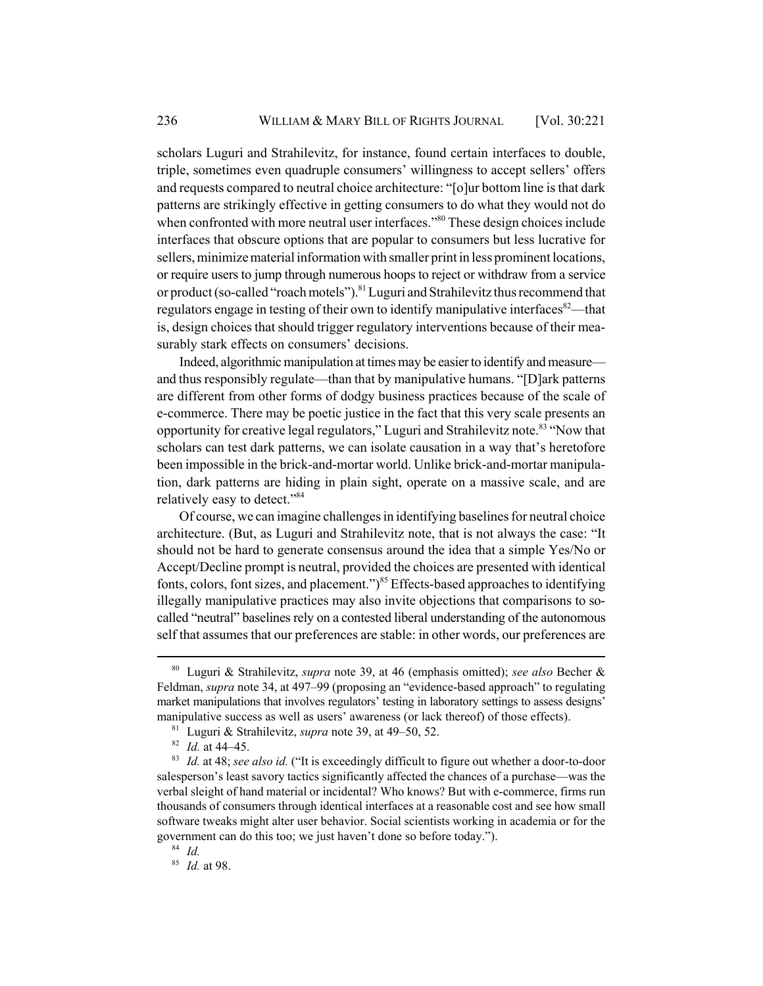scholars Luguri and Strahilevitz, for instance, found certain interfaces to double, triple, sometimes even quadruple consumers' willingness to accept sellers' offers and requests compared to neutral choice architecture: "[o]ur bottom line is that dark patterns are strikingly effective in getting consumers to do what they would not do when confronted with more neutral user interfaces."<sup>80</sup> These design choices include interfaces that obscure options that are popular to consumers but less lucrative for sellers, minimize material information with smaller print in less prominent locations, or require users to jump through numerous hoops to reject or withdraw from a service or product (so-called "roach motels").<sup>81</sup> Luguri and Strahilevitz thus recommend that regulators engage in testing of their own to identify manipulative interfaces<sup>82</sup>—that is, design choices that should trigger regulatory interventions because of their measurably stark effects on consumers' decisions.

Indeed, algorithmic manipulation at times may be easier to identify and measure and thus responsibly regulate—than that by manipulative humans. "[D]ark patterns are different from other forms of dodgy business practices because of the scale of e-commerce. There may be poetic justice in the fact that this very scale presents an opportunity for creative legal regulators," Luguri and Strahilevitz note.<sup>83</sup> "Now that scholars can test dark patterns, we can isolate causation in a way that's heretofore been impossible in the brick-and-mortar world. Unlike brick-and-mortar manipulation, dark patterns are hiding in plain sight, operate on a massive scale, and are relatively easy to detect."84

Of course, we can imagine challenges in identifying baselines for neutral choice architecture. (But, as Luguri and Strahilevitz note, that is not always the case: "It should not be hard to generate consensus around the idea that a simple Yes/No or Accept/Decline prompt is neutral, provided the choices are presented with identical fonts, colors, font sizes, and placement." $)^{85}$  Effects-based approaches to identifying illegally manipulative practices may also invite objections that comparisons to socalled "neutral" baselines rely on a contested liberal understanding of the autonomous self that assumes that our preferences are stable: in other words, our preferences are

<sup>80</sup> Luguri & Strahilevitz, *supra* note 39, at 46 (emphasis omitted); *see also* Becher & Feldman, *supra* note 34, at 497–99 (proposing an "evidence-based approach" to regulating market manipulations that involves regulators' testing in laboratory settings to assess designs' manipulative success as well as users' awareness (or lack thereof) of those effects).

<sup>81</sup> Luguri & Strahilevitz, *supra* note 39, at 49–50, 52.

<sup>82</sup> *Id.* at 44–45.

<sup>83</sup> *Id.* at 48; *see also id.* ("It is exceedingly difficult to figure out whether a door-to-door salesperson's least savory tactics significantly affected the chances of a purchase—was the verbal sleight of hand material or incidental? Who knows? But with e-commerce, firms run thousands of consumers through identical interfaces at a reasonable cost and see how small software tweaks might alter user behavior. Social scientists working in academia or for the government can do this too; we just haven't done so before today.").

<sup>84</sup> *Id.*

<sup>85</sup> *Id.* at 98.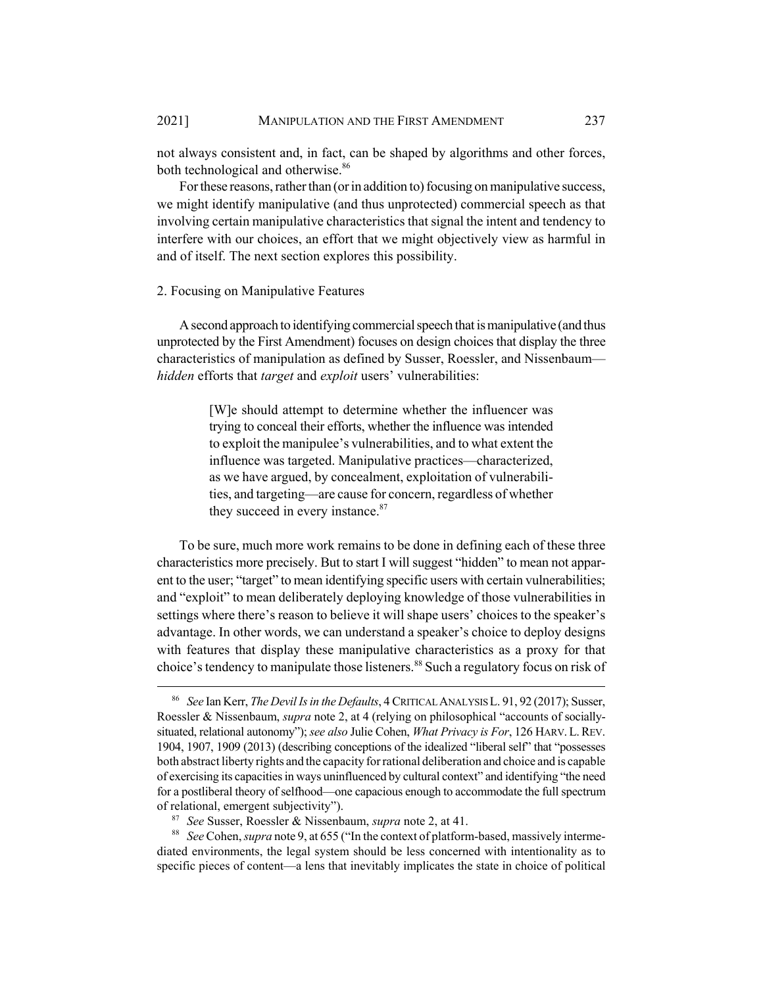not always consistent and, in fact, can be shaped by algorithms and other forces, both technological and otherwise.<sup>86</sup>

For these reasons, rather than (or in addition to) focusing on manipulative success, we might identify manipulative (and thus unprotected) commercial speech as that involving certain manipulative characteristics that signal the intent and tendency to interfere with our choices, an effort that we might objectively view as harmful in and of itself. The next section explores this possibility.

#### 2. Focusing on Manipulative Features

A second approach to identifying commercial speech that is manipulative (and thus unprotected by the First Amendment) focuses on design choices that display the three characteristics of manipulation as defined by Susser, Roessler, and Nissenbaum *hidden* efforts that *target* and *exploit* users' vulnerabilities:

> [W]e should attempt to determine whether the influencer was trying to conceal their efforts, whether the influence was intended to exploit the manipulee's vulnerabilities, and to what extent the influence was targeted. Manipulative practices—characterized, as we have argued, by concealment, exploitation of vulnerabilities, and targeting—are cause for concern, regardless of whether they succeed in every instance.<sup>87</sup>

To be sure, much more work remains to be done in defining each of these three characteristics more precisely. But to start I will suggest "hidden" to mean not apparent to the user; "target" to mean identifying specific users with certain vulnerabilities; and "exploit" to mean deliberately deploying knowledge of those vulnerabilities in settings where there's reason to believe it will shape users' choices to the speaker's advantage. In other words, we can understand a speaker's choice to deploy designs with features that display these manipulative characteristics as a proxy for that choice's tendency to manipulate those listeners.<sup>88</sup> Such a regulatory focus on risk of

<sup>88</sup> *See* Cohen, *supra* note 9, at 655 ("In the context of platform-based, massively intermediated environments, the legal system should be less concerned with intentionality as to specific pieces of content—a lens that inevitably implicates the state in choice of political

<sup>86</sup> *See* Ian Kerr, *The Devil Is in the Defaults*, 4 CRITICAL ANALYSIS L. 91, 92 (2017); Susser, Roessler & Nissenbaum, *supra* note 2, at 4 (relying on philosophical "accounts of sociallysituated, relational autonomy"); *see also* Julie Cohen, *What Privacy is For*, 126 HARV. L.REV. 1904, 1907, 1909 (2013) (describing conceptions of the idealized "liberal self" that "possesses both abstract liberty rights and the capacity for rational deliberation and choice and is capable of exercising its capacities in ways uninfluenced by cultural context" and identifying "the need for a postliberal theory of selfhood—one capacious enough to accommodate the full spectrum of relational, emergent subjectivity").

<sup>87</sup> *See* Susser, Roessler & Nissenbaum, *supra* note 2, at 41.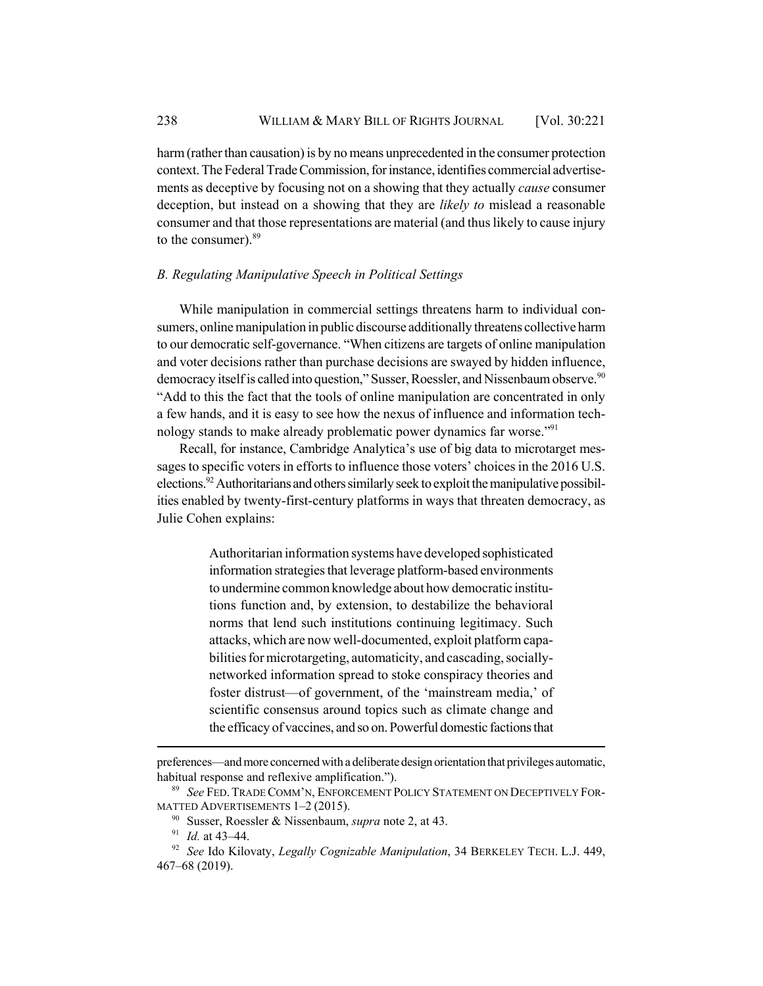harm (rather than causation) is by no means unprecedented in the consumer protection context. The Federal Trade Commission, for instance, identifies commercial advertisements as deceptive by focusing not on a showing that they actually *cause* consumer deception, but instead on a showing that they are *likely to* mislead a reasonable consumer and that those representations are material (and thus likely to cause injury to the consumer).<sup>89</sup>

## *B. Regulating Manipulative Speech in Political Settings*

While manipulation in commercial settings threatens harm to individual consumers, online manipulation in public discourse additionally threatens collective harm to our democratic self-governance. "When citizens are targets of online manipulation and voter decisions rather than purchase decisions are swayed by hidden influence, democracy itself is called into question," Susser, Roessler, and Nissenbaum observe.<sup>90</sup> "Add to this the fact that the tools of online manipulation are concentrated in only a few hands, and it is easy to see how the nexus of influence and information technology stands to make already problematic power dynamics far worse."<sup>91</sup>

Recall, for instance, Cambridge Analytica's use of big data to microtarget messages to specific voters in efforts to influence those voters' choices in the 2016 U.S. elections.<sup>92</sup> Authoritarians and others similarly seek to exploit the manipulative possibilities enabled by twenty-first-century platforms in ways that threaten democracy, as Julie Cohen explains:

> Authoritarian information systems have developed sophisticated information strategies that leverage platform-based environments to undermine common knowledge about how democratic institutions function and, by extension, to destabilize the behavioral norms that lend such institutions continuing legitimacy. Such attacks, which are now well-documented, exploit platform capabilities for microtargeting, automaticity, and cascading, sociallynetworked information spread to stoke conspiracy theories and foster distrust—of government, of the 'mainstream media,' of scientific consensus around topics such as climate change and the efficacy of vaccines, and so on. Powerful domestic factions that

preferences—and more concerned with a deliberate design orientation that privileges automatic, habitual response and reflexive amplification.").

<sup>89</sup> *See* FED.TRADE COMM'N, ENFORCEMENT POLICY STATEMENT ON DECEPTIVELY FOR-MATTED ADVERTISEMENTS 1–2 (2015).

<sup>90</sup> Susser, Roessler & Nissenbaum, *supra* note 2, at 43.

<sup>91</sup> *Id.* at 43–44.

<sup>92</sup> *See* Ido Kilovaty, *Legally Cognizable Manipulation*, 34 BERKELEY TECH. L.J. 449, 467–68 (2019).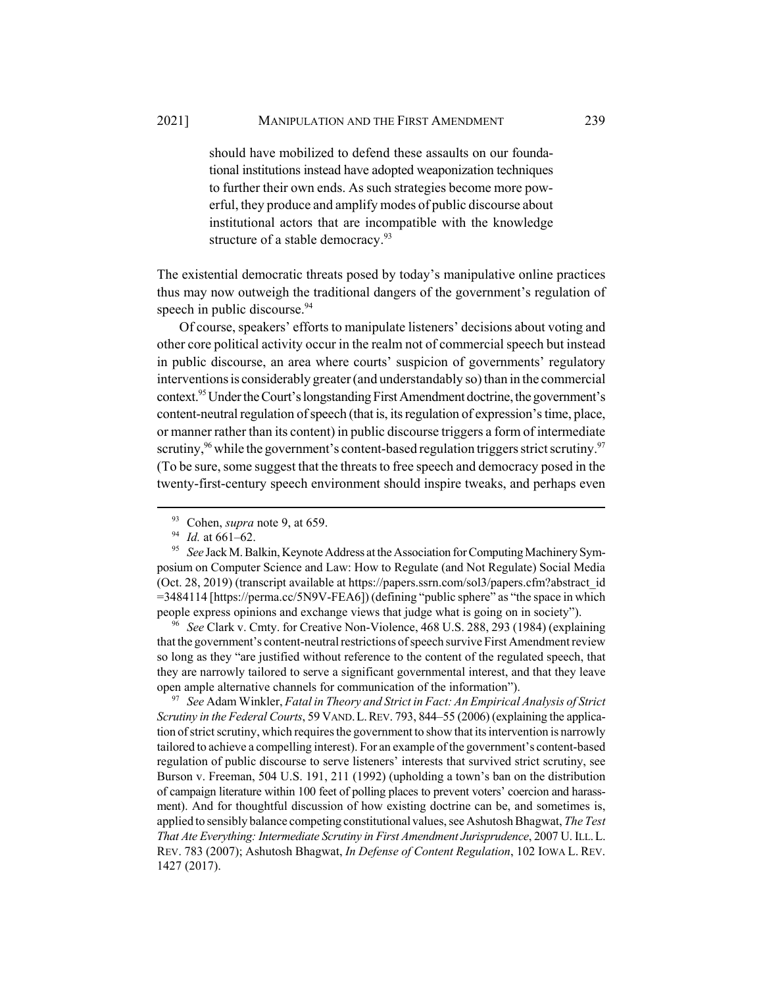2021] MANIPULATION AND THE FIRST AMENDMENT 239

should have mobilized to defend these assaults on our foundational institutions instead have adopted weaponization techniques to further their own ends. As such strategies become more powerful, they produce and amplify modes of public discourse about institutional actors that are incompatible with the knowledge structure of a stable democracy.<sup>93</sup>

The existential democratic threats posed by today's manipulative online practices thus may now outweigh the traditional dangers of the government's regulation of speech in public discourse.<sup>94</sup>

Of course, speakers' efforts to manipulate listeners' decisions about voting and other core political activity occur in the realm not of commercial speech but instead in public discourse, an area where courts' suspicion of governments' regulatory interventions is considerably greater (and understandably so) than in the commercial context.<sup>95</sup> Under the Court's longstanding First Amendment doctrine, the government's content-neutral regulation of speech (that is, its regulation of expression's time, place, or manner rather than its content) in public discourse triggers a form of intermediate scrutiny,  $96$  while the government's content-based regulation triggers strict scrutiny.  $97$ (To be sure, some suggest that the threats to free speech and democracy posed in the twenty-first-century speech environment should inspire tweaks, and perhaps even

<sup>96</sup> *See* Clark v. Cmty. for Creative Non-Violence, 468 U.S. 288, 293 (1984) (explaining that the government's content-neutral restrictions of speech survive First Amendment review so long as they "are justified without reference to the content of the regulated speech, that they are narrowly tailored to serve a significant governmental interest, and that they leave open ample alternative channels for communication of the information").

<sup>97</sup> *See* Adam Winkler, *Fatal in Theory and Strict in Fact: An Empirical Analysis of Strict Scrutiny in the Federal Courts*, 59 VAND.L.REV. 793, 844–55 (2006) (explaining the application of strict scrutiny, which requires the government to show that its intervention is narrowly tailored to achieve a compelling interest). For an example of the government's content-based regulation of public discourse to serve listeners' interests that survived strict scrutiny, see Burson v. Freeman, 504 U.S. 191, 211 (1992) (upholding a town's ban on the distribution of campaign literature within 100 feet of polling places to prevent voters' coercion and harassment). And for thoughtful discussion of how existing doctrine can be, and sometimes is, applied to sensibly balance competing constitutional values, see Ashutosh Bhagwat, *The Test That Ate Everything: Intermediate Scrutiny in First Amendment Jurisprudence*, 2007 U. ILL.L. REV. 783 (2007); Ashutosh Bhagwat, *In Defense of Content Regulation*, 102 IOWA L. REV. 1427 (2017).

<sup>93</sup> Cohen, *supra* note 9, at 659.

<sup>94</sup> *Id.* at 661–62.

<sup>95</sup> *See* Jack M. Balkin, Keynote Address at the Association for Computing Machinery Symposium on Computer Science and Law: How to Regulate (and Not Regulate) Social Media (Oct. 28, 2019) (transcript available at https://papers.ssrn.com/sol3/papers.cfm?abstract\_id =3484114 [https://perma.cc/5N9V-FEA6]) (defining "public sphere" as "the space in which people express opinions and exchange views that judge what is going on in society").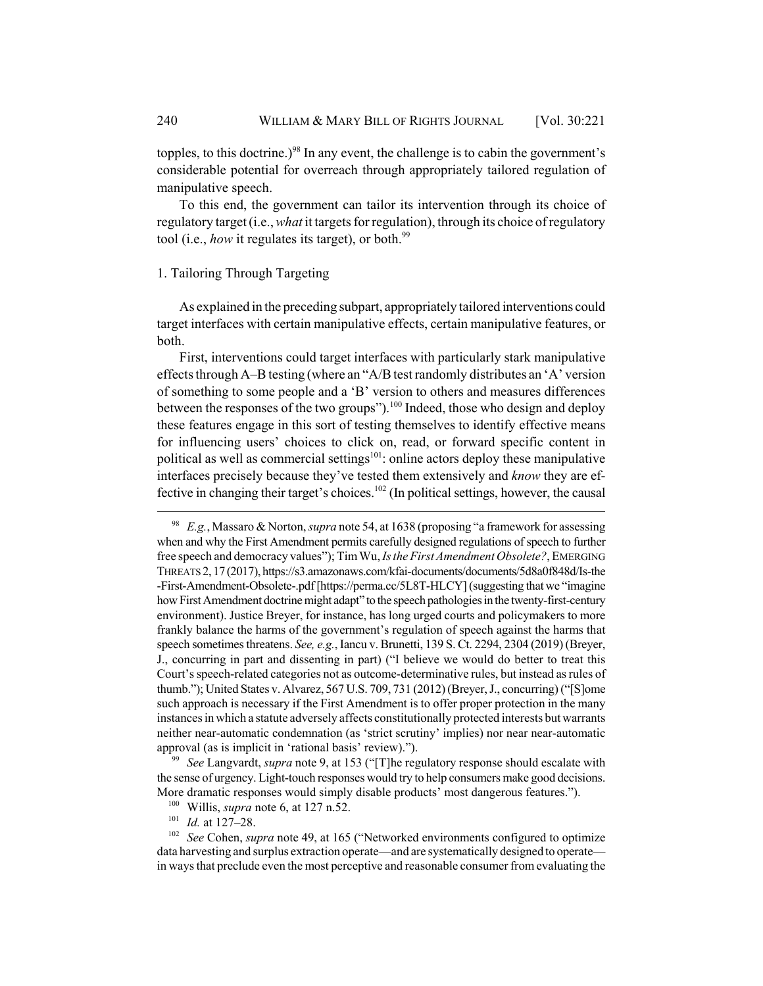topples, to this doctrine.)<sup>98</sup> In any event, the challenge is to cabin the government's considerable potential for overreach through appropriately tailored regulation of manipulative speech.

To this end, the government can tailor its intervention through its choice of regulatory target (i.e., *what* it targets for regulation), through its choice of regulatory tool (i.e., *how* it regulates its target), or both.<sup>99</sup>

## 1. Tailoring Through Targeting

As explained in the preceding subpart, appropriately tailored interventions could target interfaces with certain manipulative effects, certain manipulative features, or both.

First, interventions could target interfaces with particularly stark manipulative effects through A–B testing (where an "A/B test randomly distributes an 'A' version of something to some people and a 'B' version to others and measures differences between the responses of the two groups").<sup>100</sup> Indeed, those who design and deploy these features engage in this sort of testing themselves to identify effective means for influencing users' choices to click on, read, or forward specific content in political as well as commercial settings $101$ : online actors deploy these manipulative interfaces precisely because they've tested them extensively and *know* they are effective in changing their target's choices.<sup>102</sup> (In political settings, however, the causal

<sup>98</sup> *E.g.*, Massaro & Norton, *supra* note 54, at 1638 (proposing "a framework for assessing when and why the First Amendment permits carefully designed regulations of speech to further free speech and democracy values"); Tim Wu, *Is the First Amendment Obsolete?*, EMERGING THREATS 2, 17 (2017), https://s3.amazonaws.com/kfai-documents/documents/5d8a0f848d/Is-the -First-Amendment-Obsolete-.pdf [https://perma.cc/5L8T-HLCY] (suggesting that we "imagine how First Amendment doctrine might adapt" to the speech pathologies in the twenty-first-century environment). Justice Breyer, for instance, has long urged courts and policymakers to more frankly balance the harms of the government's regulation of speech against the harms that speech sometimes threatens. *See, e.g.*, Iancu v. Brunetti, 139 S. Ct. 2294, 2304 (2019) (Breyer, J., concurring in part and dissenting in part) ("I believe we would do better to treat this Court's speech-related categories not as outcome-determinative rules, but instead as rules of thumb."); United States v. Alvarez, 567 U.S. 709, 731 (2012) (Breyer, J., concurring) ("[S]ome such approach is necessary if the First Amendment is to offer proper protection in the many instances in which a statute adversely affects constitutionally protected interests but warrants neither near-automatic condemnation (as 'strict scrutiny' implies) nor near near-automatic approval (as is implicit in 'rational basis' review).").

<sup>99</sup> *See* Langvardt, *supra* note 9, at 153 ("[T]he regulatory response should escalate with the sense of urgency. Light-touch responses would try to help consumers make good decisions. More dramatic responses would simply disable products' most dangerous features.").

<sup>100</sup> Willis, *supra* note 6, at 127 n.52.

<sup>101</sup> *Id.* at 127–28.

<sup>&</sup>lt;sup>102</sup> *See* Cohen, *supra* note 49, at 165 ("Networked environments configured to optimize data harvesting and surplus extraction operate—and are systematically designed to operate in ways that preclude even the most perceptive and reasonable consumer from evaluating the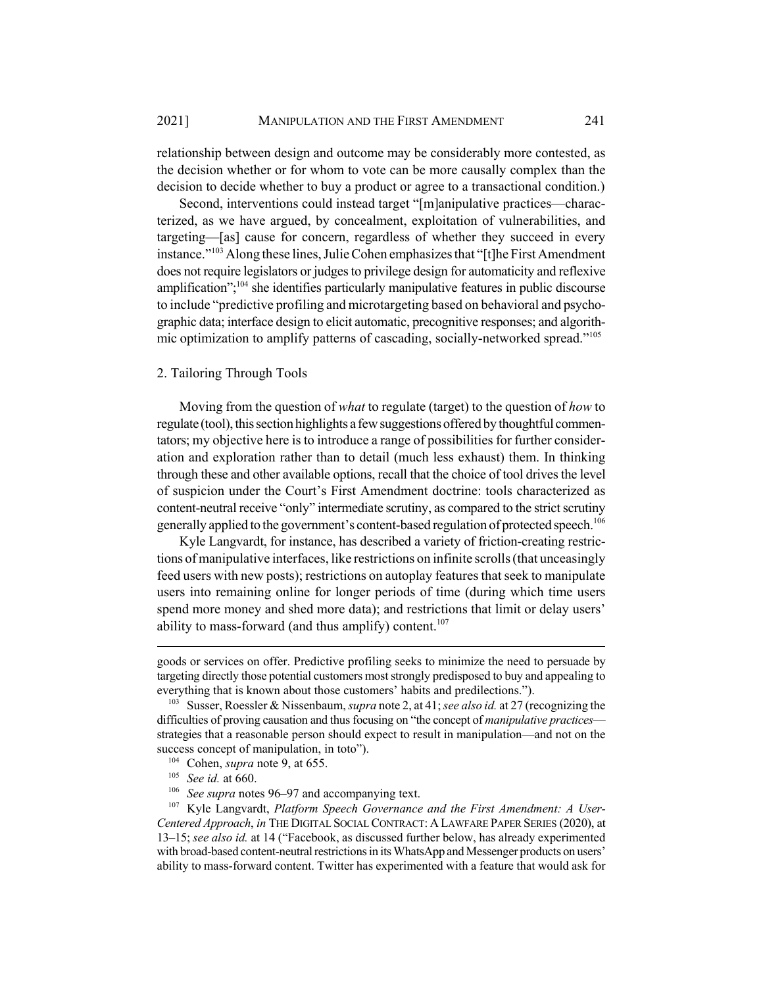relationship between design and outcome may be considerably more contested, as the decision whether or for whom to vote can be more causally complex than the decision to decide whether to buy a product or agree to a transactional condition.)

Second, interventions could instead target "[m]anipulative practices—characterized, as we have argued, by concealment, exploitation of vulnerabilities, and targeting—[as] cause for concern, regardless of whether they succeed in every instance."103 Along these lines, Julie Cohen emphasizes that "[t]he First Amendment does not require legislators or judges to privilege design for automaticity and reflexive amplification";<sup>104</sup> she identifies particularly manipulative features in public discourse to include "predictive profiling and microtargeting based on behavioral and psychographic data; interface design to elicit automatic, precognitive responses; and algorithmic optimization to amplify patterns of cascading, socially-networked spread."105

## 2. Tailoring Through Tools

Moving from the question of *what* to regulate (target) to the question of *how* to regulate (tool), this section highlights a few suggestions offered by thoughtful commentators; my objective here is to introduce a range of possibilities for further consideration and exploration rather than to detail (much less exhaust) them. In thinking through these and other available options, recall that the choice of tool drives the level of suspicion under the Court's First Amendment doctrine: tools characterized as content-neutral receive "only" intermediate scrutiny, as compared to the strict scrutiny generally applied to the government's content-based regulation of protected speech.<sup>106</sup>

Kyle Langvardt, for instance, has described a variety of friction-creating restrictions of manipulative interfaces, like restrictions on infinite scrolls (that unceasingly feed users with new posts); restrictions on autoplay features that seek to manipulate users into remaining online for longer periods of time (during which time users spend more money and shed more data); and restrictions that limit or delay users' ability to mass-forward (and thus amplify) content.<sup>107</sup>

goods or services on offer. Predictive profiling seeks to minimize the need to persuade by targeting directly those potential customers most strongly predisposed to buy and appealing to everything that is known about those customers' habits and predilections.").

<sup>103</sup> Susser, Roessler & Nissenbaum, *supra* note 2, at 41; *see also id.* at 27 (recognizing the difficulties of proving causation and thus focusing on "the concept of *manipulative practices* strategies that a reasonable person should expect to result in manipulation—and not on the success concept of manipulation, in toto").

<sup>104</sup> Cohen, *supra* note 9, at 655.

<sup>105</sup> *See id.* at 660.

<sup>106</sup> *See supra* notes 96–97 and accompanying text.

<sup>107</sup> Kyle Langvardt, *Platform Speech Governance and the First Amendment: A User-Centered Approach*, *in* THE DIGITAL SOCIAL CONTRACT: A LAWFARE PAPER SERIES (2020), at 13–15; *see also id.* at 14 ("Facebook, as discussed further below, has already experimented with broad-based content-neutral restrictions in its WhatsApp and Messenger products on users' ability to mass-forward content. Twitter has experimented with a feature that would ask for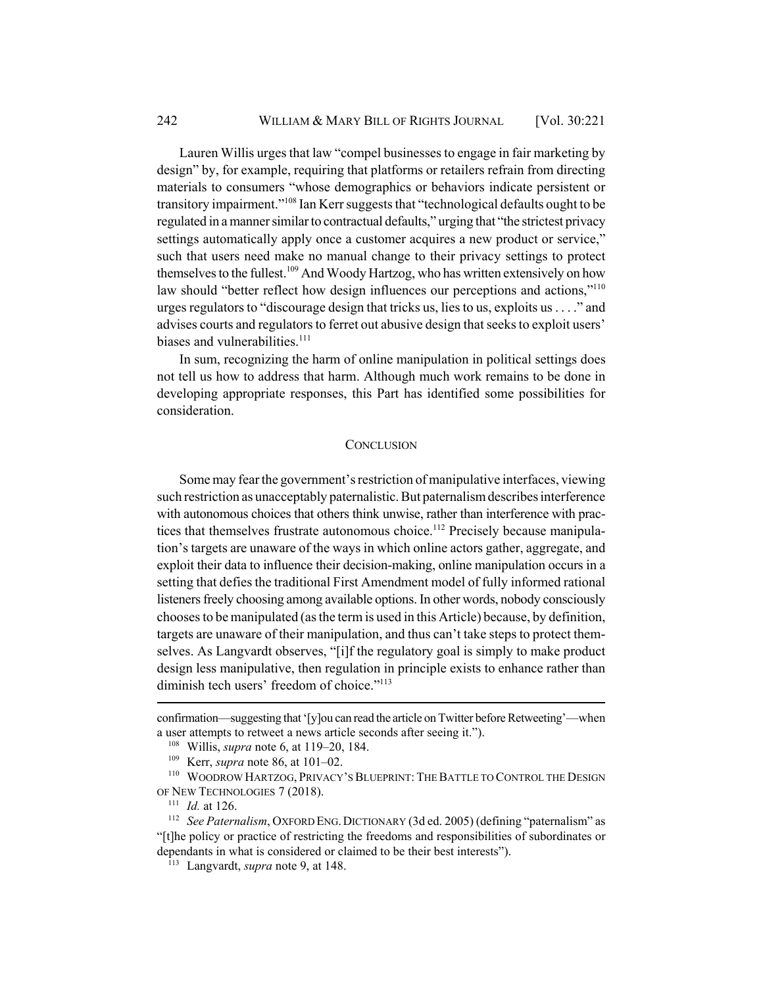Lauren Willis urges that law "compel businesses to engage in fair marketing by design" by, for example, requiring that platforms or retailers refrain from directing materials to consumers "whose demographics or behaviors indicate persistent or transitory impairment."108 Ian Kerr suggests that "technological defaults ought to be regulated in a manner similar to contractual defaults," urging that "the strictest privacy settings automatically apply once a customer acquires a new product or service," such that users need make no manual change to their privacy settings to protect themselves to the fullest.<sup>109</sup> And Woody Hartzog, who has written extensively on how law should "better reflect how design influences our perceptions and actions,"<sup>110</sup> urges regulators to "discourage design that tricks us, lies to us, exploits us . . . ." and advises courts and regulators to ferret out abusive design that seeks to exploit users' biases and vulnerabilities. $111$ 

In sum, recognizing the harm of online manipulation in political settings does not tell us how to address that harm. Although much work remains to be done in developing appropriate responses, this Part has identified some possibilities for consideration.

## **CONCLUSION**

Some may fear the government's restriction of manipulative interfaces, viewing such restriction as unacceptably paternalistic. But paternalism describes interference with autonomous choices that others think unwise, rather than interference with practices that themselves frustrate autonomous choice.<sup>112</sup> Precisely because manipulation's targets are unaware of the ways in which online actors gather, aggregate, and exploit their data to influence their decision-making, online manipulation occurs in a setting that defies the traditional First Amendment model of fully informed rational listeners freely choosing among available options. In other words, nobody consciously chooses to be manipulated (as the term is used in this Article) because, by definition, targets are unaware of their manipulation, and thus can't take steps to protect themselves. As Langvardt observes, "[i]f the regulatory goal is simply to make product design less manipulative, then regulation in principle exists to enhance rather than diminish tech users' freedom of choice."<sup>113</sup>

confirmation—suggesting that '[y]ou can read the article on Twitter before Retweeting'—when a user attempts to retweet a news article seconds after seeing it.").

<sup>108</sup> Willis, *supra* note 6, at 119–20, 184.

<sup>109</sup> Kerr, *supra* note 86, at 101–02.

<sup>110</sup> WOODROW HARTZOG, PRIVACY'S BLUEPRINT: THE BATTLE TO CONTROL THE DESIGN OF NEW TECHNOLOGIES 7 (2018).

<sup>111</sup> *Id.* at 126.

<sup>&</sup>lt;sup>112</sup> *See Paternalism*, OXFORD ENG. DICTIONARY (3d ed. 2005) (defining "paternalism" as "[t]he policy or practice of restricting the freedoms and responsibilities of subordinates or dependants in what is considered or claimed to be their best interests").

<sup>113</sup> Langvardt, *supra* note 9, at 148.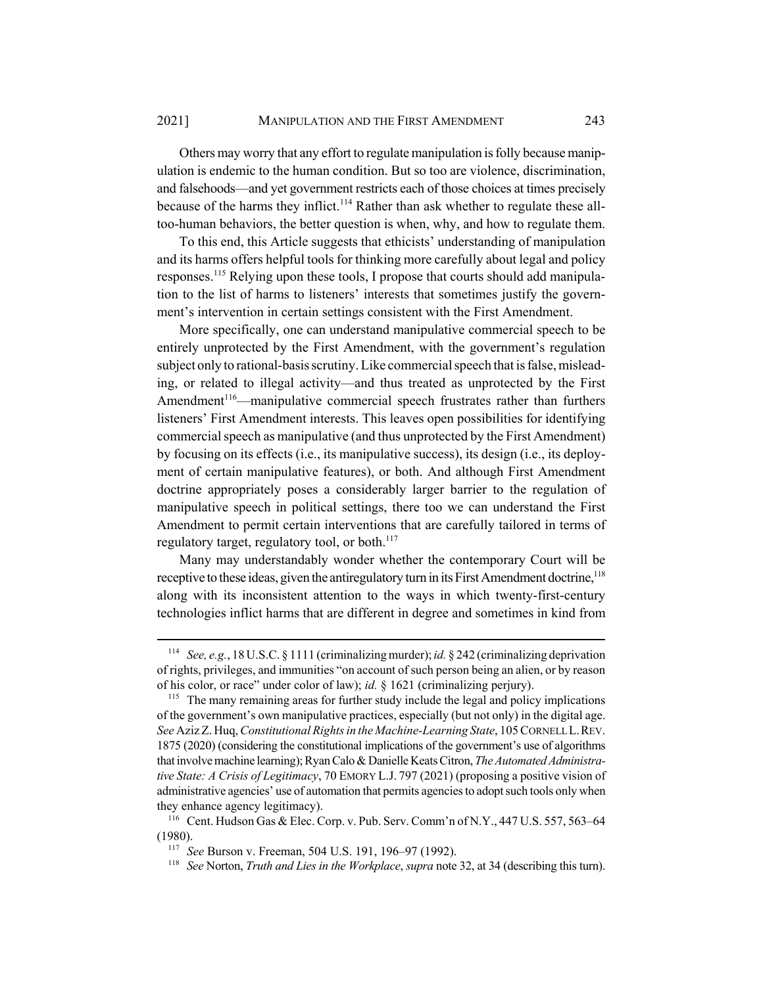Others may worry that any effort to regulate manipulation is folly because manipulation is endemic to the human condition. But so too are violence, discrimination, and falsehoods—and yet government restricts each of those choices at times precisely because of the harms they inflict.<sup>114</sup> Rather than ask whether to regulate these alltoo-human behaviors, the better question is when, why, and how to regulate them.

To this end, this Article suggests that ethicists' understanding of manipulation and its harms offers helpful tools for thinking more carefully about legal and policy responses.115 Relying upon these tools, I propose that courts should add manipulation to the list of harms to listeners' interests that sometimes justify the government's intervention in certain settings consistent with the First Amendment.

More specifically, one can understand manipulative commercial speech to be entirely unprotected by the First Amendment, with the government's regulation subject only to rational-basis scrutiny. Like commercial speech that is false, misleading, or related to illegal activity—and thus treated as unprotected by the First Amendment<sup>116</sup>—manipulative commercial speech frustrates rather than furthers listeners' First Amendment interests. This leaves open possibilities for identifying commercial speech as manipulative (and thus unprotected by the First Amendment) by focusing on its effects (i.e., its manipulative success), its design (i.e., its deployment of certain manipulative features), or both. And although First Amendment doctrine appropriately poses a considerably larger barrier to the regulation of manipulative speech in political settings, there too we can understand the First Amendment to permit certain interventions that are carefully tailored in terms of regulatory target, regulatory tool, or both.<sup>117</sup>

Many may understandably wonder whether the contemporary Court will be receptive to these ideas, given the antiregulatory turn in its First Amendment doctrine,<sup>118</sup> along with its inconsistent attention to the ways in which twenty-first-century technologies inflict harms that are different in degree and sometimes in kind from

<sup>114</sup> *See, e.g.*, 18 U.S.C. § 1111 (criminalizing murder); *id.* § 242 (criminalizing deprivation of rights, privileges, and immunities "on account of such person being an alien, or by reason of his color, or race" under color of law); *id.* § 1621 (criminalizing perjury).

<sup>&</sup>lt;sup>115</sup> The many remaining areas for further study include the legal and policy implications of the government's own manipulative practices, especially (but not only) in the digital age. *See* Aziz Z. Huq, *Constitutional Rights in the Machine-Learning State*, 105 CORNELL L.REV. 1875 (2020) (considering the constitutional implications of the government's use of algorithms that involve machine learning); Ryan Calo & Danielle Keats Citron, *The Automated Administrative State: A Crisis of Legitimacy*, 70 EMORY L.J. 797 (2021) (proposing a positive vision of administrative agencies' use of automation that permits agencies to adopt such tools only when they enhance agency legitimacy).

<sup>116</sup> Cent. Hudson Gas & Elec. Corp. v. Pub. Serv. Comm'n of N.Y., 447 U.S. 557, 563–64 (1980).

<sup>117</sup> *See* Burson v. Freeman, 504 U.S. 191, 196–97 (1992).

<sup>118</sup> *See* Norton, *Truth and Lies in the Workplace*, *supra* note 32, at 34 (describing this turn).